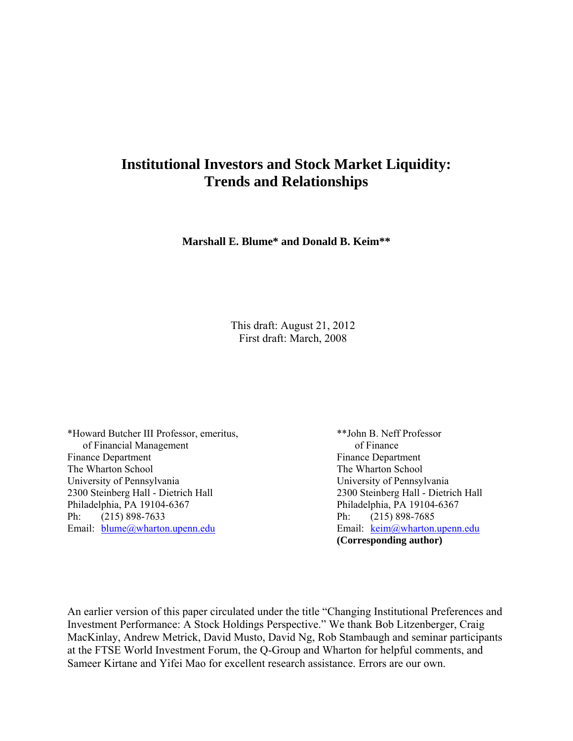# **Institutional Investors and Stock Market Liquidity: Trends and Relationships**

**Marshall E. Blume\* and Donald B. Keim\*\*** 

This draft: August 21, 2012 First draft: March, 2008

\*Howard Butcher III Professor, emeritus, \*\*John B. Neff Professor of Financial Management of Finance Finance Department Finance Department The Wharton School **The Wharton School** The Wharton School University of Pennsylvania University of Pennsylvania 2300 Steinberg Hall - Dietrich Hall 2300 Steinberg Hall - Dietrich Hall Philadelphia, PA 19104-6367 Philadelphia, PA 19104-6367 Ph: (215) 898-7633 Ph: (215) 898-7685 Email:  $\underline{blume@wharton.upenn.edu}$  Email:  $\underline{keim@wharton.upenn.edu}$ 

**(Corresponding author)** 

An earlier version of this paper circulated under the title "Changing Institutional Preferences and Investment Performance: A Stock Holdings Perspective." We thank Bob Litzenberger, Craig MacKinlay, Andrew Metrick, David Musto, David Ng, Rob Stambaugh and seminar participants at the FTSE World Investment Forum, the Q-Group and Wharton for helpful comments, and Sameer Kirtane and Yifei Mao for excellent research assistance. Errors are our own.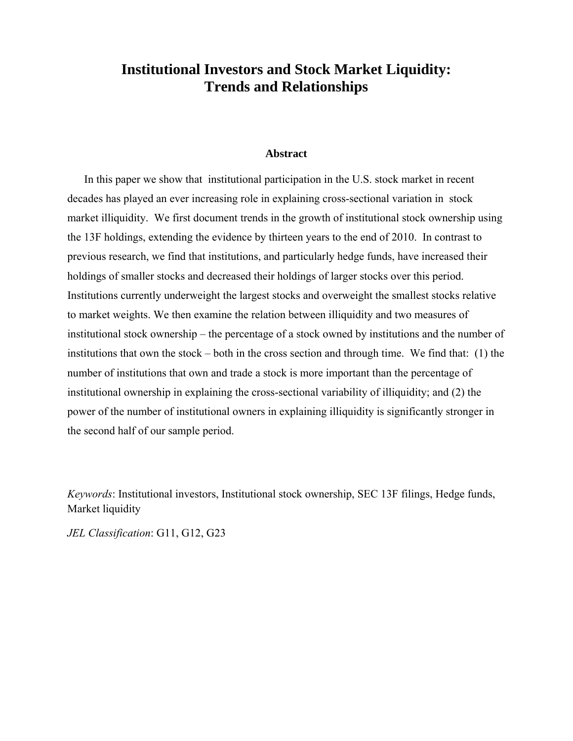# **Institutional Investors and Stock Market Liquidity: Trends and Relationships**

#### **Abstract**

In this paper we show that institutional participation in the U.S. stock market in recent decades has played an ever increasing role in explaining cross-sectional variation in stock market illiquidity. We first document trends in the growth of institutional stock ownership using the 13F holdings, extending the evidence by thirteen years to the end of 2010. In contrast to previous research, we find that institutions, and particularly hedge funds, have increased their holdings of smaller stocks and decreased their holdings of larger stocks over this period. Institutions currently underweight the largest stocks and overweight the smallest stocks relative to market weights. We then examine the relation between illiquidity and two measures of institutional stock ownership – the percentage of a stock owned by institutions and the number of institutions that own the stock – both in the cross section and through time. We find that: (1) the number of institutions that own and trade a stock is more important than the percentage of institutional ownership in explaining the cross-sectional variability of illiquidity; and (2) the power of the number of institutional owners in explaining illiquidity is significantly stronger in the second half of our sample period.

*Keywords*: Institutional investors, Institutional stock ownership, SEC 13F filings, Hedge funds, Market liquidity

*JEL Classification*: G11, G12, G23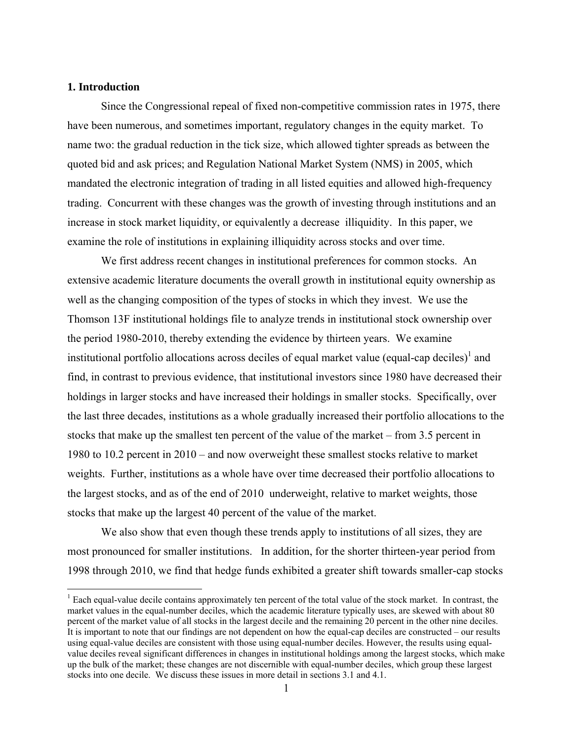#### **1. Introduction**

1

Since the Congressional repeal of fixed non-competitive commission rates in 1975, there have been numerous, and sometimes important, regulatory changes in the equity market. To name two: the gradual reduction in the tick size, which allowed tighter spreads as between the quoted bid and ask prices; and Regulation National Market System (NMS) in 2005, which mandated the electronic integration of trading in all listed equities and allowed high-frequency trading. Concurrent with these changes was the growth of investing through institutions and an increase in stock market liquidity, or equivalently a decrease illiquidity. In this paper, we examine the role of institutions in explaining illiquidity across stocks and over time.

We first address recent changes in institutional preferences for common stocks. An extensive academic literature documents the overall growth in institutional equity ownership as well as the changing composition of the types of stocks in which they invest. We use the Thomson 13F institutional holdings file to analyze trends in institutional stock ownership over the period 1980-2010, thereby extending the evidence by thirteen years. We examine institutional portfolio allocations across deciles of equal market value (equal-cap deciles) $<sup>1</sup>$  and</sup> find, in contrast to previous evidence, that institutional investors since 1980 have decreased their holdings in larger stocks and have increased their holdings in smaller stocks. Specifically, over the last three decades, institutions as a whole gradually increased their portfolio allocations to the stocks that make up the smallest ten percent of the value of the market – from 3.5 percent in 1980 to 10.2 percent in 2010 – and now overweight these smallest stocks relative to market weights. Further, institutions as a whole have over time decreased their portfolio allocations to the largest stocks, and as of the end of 2010 underweight, relative to market weights, those stocks that make up the largest 40 percent of the value of the market.

We also show that even though these trends apply to institutions of all sizes, they are most pronounced for smaller institutions. In addition, for the shorter thirteen-year period from 1998 through 2010, we find that hedge funds exhibited a greater shift towards smaller-cap stocks

 $1$  Each equal-value decile contains approximately ten percent of the total value of the stock market. In contrast, the market values in the equal-number deciles, which the academic literature typically uses, are skewed with about 80 percent of the market value of all stocks in the largest decile and the remaining 20 percent in the other nine deciles. It is important to note that our findings are not dependent on how the equal-cap deciles are constructed – our results using equal-value deciles are consistent with those using equal-number deciles. However, the results using equalvalue deciles reveal significant differences in changes in institutional holdings among the largest stocks, which make up the bulk of the market; these changes are not discernible with equal-number deciles, which group these largest stocks into one decile. We discuss these issues in more detail in sections 3.1 and 4.1.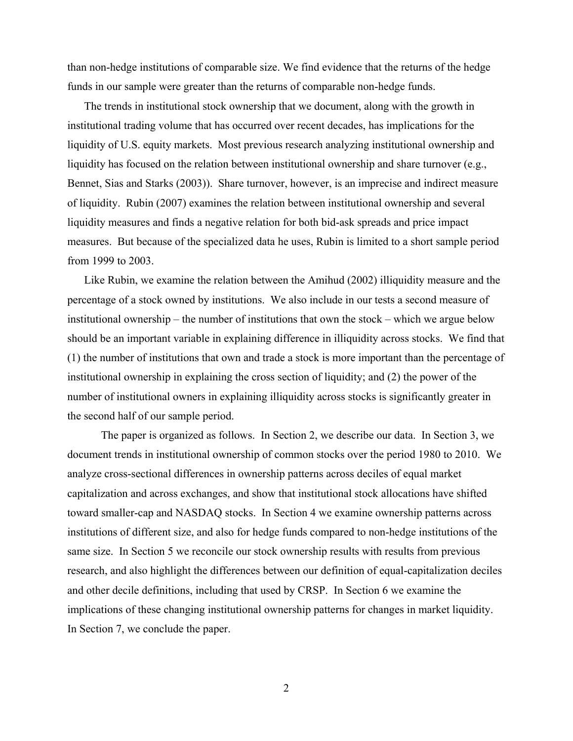than non-hedge institutions of comparable size. We find evidence that the returns of the hedge funds in our sample were greater than the returns of comparable non-hedge funds.

The trends in institutional stock ownership that we document, along with the growth in institutional trading volume that has occurred over recent decades, has implications for the liquidity of U.S. equity markets. Most previous research analyzing institutional ownership and liquidity has focused on the relation between institutional ownership and share turnover (e.g., Bennet, Sias and Starks (2003)). Share turnover, however, is an imprecise and indirect measure of liquidity. Rubin (2007) examines the relation between institutional ownership and several liquidity measures and finds a negative relation for both bid-ask spreads and price impact measures. But because of the specialized data he uses, Rubin is limited to a short sample period from 1999 to 2003.

Like Rubin, we examine the relation between the Amihud (2002) illiquidity measure and the percentage of a stock owned by institutions. We also include in our tests a second measure of institutional ownership – the number of institutions that own the stock – which we argue below should be an important variable in explaining difference in illiquidity across stocks. We find that (1) the number of institutions that own and trade a stock is more important than the percentage of institutional ownership in explaining the cross section of liquidity; and (2) the power of the number of institutional owners in explaining illiquidity across stocks is significantly greater in the second half of our sample period.

 The paper is organized as follows. In Section 2, we describe our data. In Section 3, we document trends in institutional ownership of common stocks over the period 1980 to 2010. We analyze cross-sectional differences in ownership patterns across deciles of equal market capitalization and across exchanges, and show that institutional stock allocations have shifted toward smaller-cap and NASDAQ stocks. In Section 4 we examine ownership patterns across institutions of different size, and also for hedge funds compared to non-hedge institutions of the same size. In Section 5 we reconcile our stock ownership results with results from previous research, and also highlight the differences between our definition of equal-capitalization deciles and other decile definitions, including that used by CRSP. In Section 6 we examine the implications of these changing institutional ownership patterns for changes in market liquidity. In Section 7, we conclude the paper.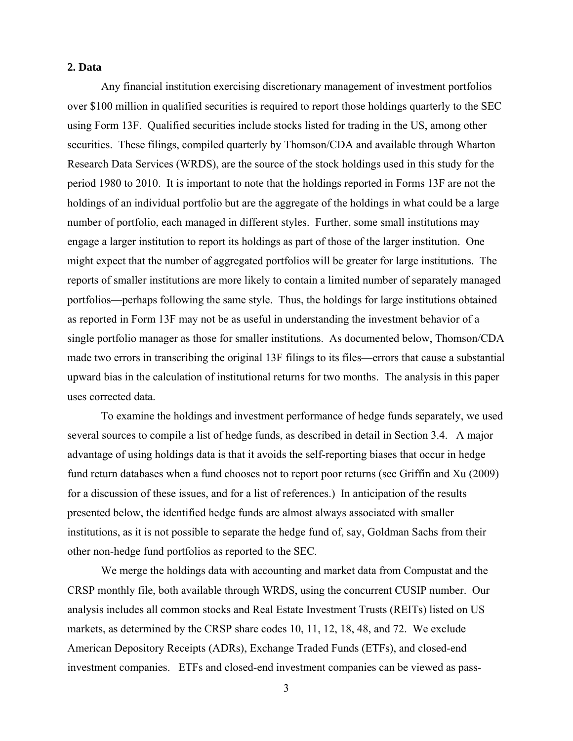# **2. Data**

Any financial institution exercising discretionary management of investment portfolios over \$100 million in qualified securities is required to report those holdings quarterly to the SEC using Form 13F. Qualified securities include stocks listed for trading in the US, among other securities. These filings, compiled quarterly by Thomson/CDA and available through Wharton Research Data Services (WRDS), are the source of the stock holdings used in this study for the period 1980 to 2010. It is important to note that the holdings reported in Forms 13F are not the holdings of an individual portfolio but are the aggregate of the holdings in what could be a large number of portfolio, each managed in different styles. Further, some small institutions may engage a larger institution to report its holdings as part of those of the larger institution. One might expect that the number of aggregated portfolios will be greater for large institutions. The reports of smaller institutions are more likely to contain a limited number of separately managed portfolios—perhaps following the same style. Thus, the holdings for large institutions obtained as reported in Form 13F may not be as useful in understanding the investment behavior of a single portfolio manager as those for smaller institutions. As documented below, Thomson/CDA made two errors in transcribing the original 13F filings to its files—errors that cause a substantial upward bias in the calculation of institutional returns for two months. The analysis in this paper uses corrected data.

To examine the holdings and investment performance of hedge funds separately, we used several sources to compile a list of hedge funds, as described in detail in Section 3.4. A major advantage of using holdings data is that it avoids the self-reporting biases that occur in hedge fund return databases when a fund chooses not to report poor returns (see Griffin and Xu (2009) for a discussion of these issues, and for a list of references.) In anticipation of the results presented below, the identified hedge funds are almost always associated with smaller institutions, as it is not possible to separate the hedge fund of, say, Goldman Sachs from their other non-hedge fund portfolios as reported to the SEC.

We merge the holdings data with accounting and market data from Compustat and the CRSP monthly file, both available through WRDS, using the concurrent CUSIP number. Our analysis includes all common stocks and Real Estate Investment Trusts (REITs) listed on US markets, as determined by the CRSP share codes 10, 11, 12, 18, 48, and 72. We exclude American Depository Receipts (ADRs), Exchange Traded Funds (ETFs), and closed-end investment companies. ETFs and closed-end investment companies can be viewed as pass-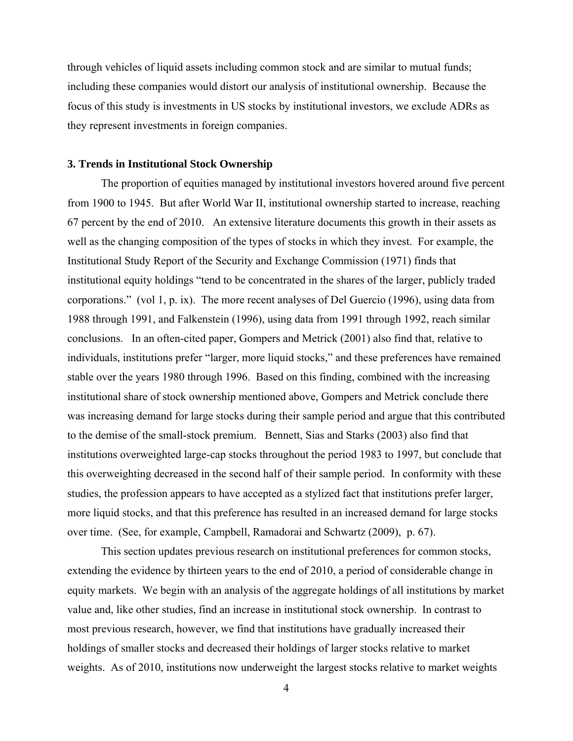through vehicles of liquid assets including common stock and are similar to mutual funds; including these companies would distort our analysis of institutional ownership. Because the focus of this study is investments in US stocks by institutional investors, we exclude ADRs as they represent investments in foreign companies.

#### **3. Trends in Institutional Stock Ownership**

 The proportion of equities managed by institutional investors hovered around five percent from 1900 to 1945. But after World War II, institutional ownership started to increase, reaching 67 percent by the end of 2010. An extensive literature documents this growth in their assets as well as the changing composition of the types of stocks in which they invest. For example, the Institutional Study Report of the Security and Exchange Commission (1971) finds that institutional equity holdings "tend to be concentrated in the shares of the larger, publicly traded corporations." (vol 1, p. ix). The more recent analyses of Del Guercio (1996), using data from 1988 through 1991, and Falkenstein (1996), using data from 1991 through 1992, reach similar conclusions. In an often-cited paper, Gompers and Metrick (2001) also find that, relative to individuals, institutions prefer "larger, more liquid stocks," and these preferences have remained stable over the years 1980 through 1996. Based on this finding, combined with the increasing institutional share of stock ownership mentioned above, Gompers and Metrick conclude there was increasing demand for large stocks during their sample period and argue that this contributed to the demise of the small-stock premium. Bennett, Sias and Starks (2003) also find that institutions overweighted large-cap stocks throughout the period 1983 to 1997, but conclude that this overweighting decreased in the second half of their sample period. In conformity with these studies, the profession appears to have accepted as a stylized fact that institutions prefer larger, more liquid stocks, and that this preference has resulted in an increased demand for large stocks over time. (See, for example, Campbell, Ramadorai and Schwartz (2009), p. 67).

This section updates previous research on institutional preferences for common stocks, extending the evidence by thirteen years to the end of 2010, a period of considerable change in equity markets. We begin with an analysis of the aggregate holdings of all institutions by market value and, like other studies, find an increase in institutional stock ownership. In contrast to most previous research, however, we find that institutions have gradually increased their holdings of smaller stocks and decreased their holdings of larger stocks relative to market weights. As of 2010, institutions now underweight the largest stocks relative to market weights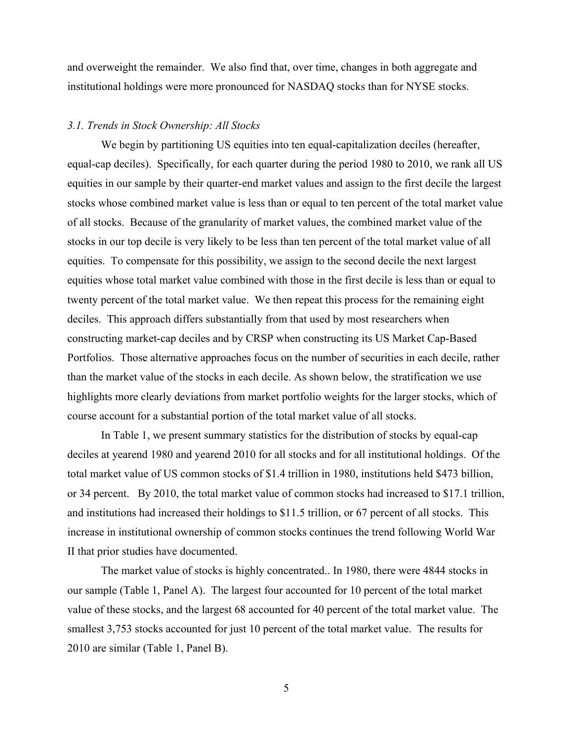and overweight the remainder. We also find that, over time, changes in both aggregate and institutional holdings were more pronounced for NASDAQ stocks than for NYSE stocks.

## *3.1. Trends in Stock Ownership: All Stocks*

We begin by partitioning US equities into ten equal-capitalization deciles (hereafter, equal-cap deciles). Specifically, for each quarter during the period 1980 to 2010, we rank all US equities in our sample by their quarter-end market values and assign to the first decile the largest stocks whose combined market value is less than or equal to ten percent of the total market value of all stocks. Because of the granularity of market values, the combined market value of the stocks in our top decile is very likely to be less than ten percent of the total market value of all equities. To compensate for this possibility, we assign to the second decile the next largest equities whose total market value combined with those in the first decile is less than or equal to twenty percent of the total market value. We then repeat this process for the remaining eight deciles. This approach differs substantially from that used by most researchers when constructing market-cap deciles and by CRSP when constructing its US Market Cap-Based Portfolios. Those alternative approaches focus on the number of securities in each decile, rather than the market value of the stocks in each decile. As shown below, the stratification we use highlights more clearly deviations from market portfolio weights for the larger stocks, which of course account for a substantial portion of the total market value of all stocks.

In Table 1, we present summary statistics for the distribution of stocks by equal-cap deciles at yearend 1980 and yearend 2010 for all stocks and for all institutional holdings. Of the total market value of US common stocks of \$1.4 trillion in 1980, institutions held \$473 billion, or 34 percent. By 2010, the total market value of common stocks had increased to \$17.1 trillion, and institutions had increased their holdings to \$11.5 trillion, or 67 percent of all stocks. This increase in institutional ownership of common stocks continues the trend following World War II that prior studies have documented.

 The market value of stocks is highly concentrated.. In 1980, there were 4844 stocks in our sample (Table 1, Panel A). The largest four accounted for 10 percent of the total market value of these stocks, and the largest 68 accounted for 40 percent of the total market value. The smallest 3,753 stocks accounted for just 10 percent of the total market value. The results for 2010 are similar (Table 1, Panel B).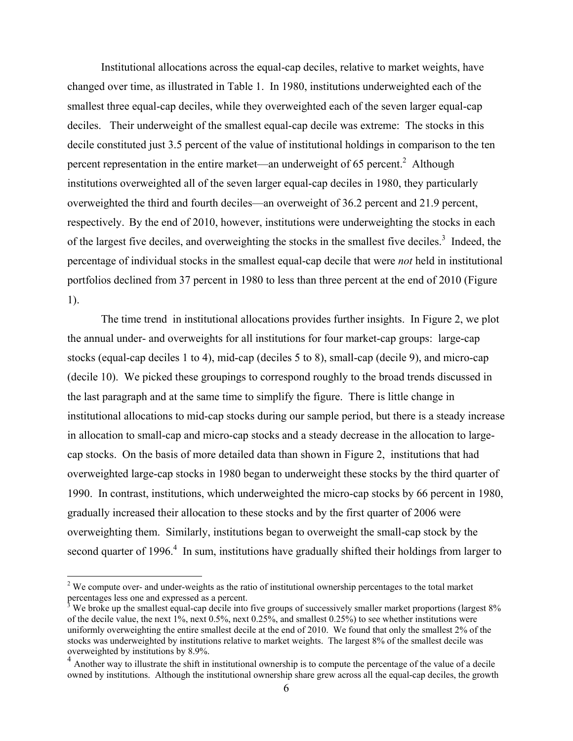Institutional allocations across the equal-cap deciles, relative to market weights, have changed over time, as illustrated in Table 1. In 1980, institutions underweighted each of the smallest three equal-cap deciles, while they overweighted each of the seven larger equal-cap deciles. Their underweight of the smallest equal-cap decile was extreme: The stocks in this decile constituted just 3.5 percent of the value of institutional holdings in comparison to the ten percent representation in the entire market—an underweight of 65 percent.<sup>2</sup> Although institutions overweighted all of the seven larger equal-cap deciles in 1980, they particularly overweighted the third and fourth deciles—an overweight of 36.2 percent and 21.9 percent, respectively. By the end of 2010, however, institutions were underweighting the stocks in each of the largest five deciles, and overweighting the stocks in the smallest five deciles.<sup>3</sup> Indeed, the percentage of individual stocks in the smallest equal-cap decile that were *not* held in institutional portfolios declined from 37 percent in 1980 to less than three percent at the end of 2010 (Figure 1).

 The time trend in institutional allocations provides further insights. In Figure 2, we plot the annual under- and overweights for all institutions for four market-cap groups: large-cap stocks (equal-cap deciles 1 to 4), mid-cap (deciles 5 to 8), small-cap (decile 9), and micro-cap (decile 10). We picked these groupings to correspond roughly to the broad trends discussed in the last paragraph and at the same time to simplify the figure. There is little change in institutional allocations to mid-cap stocks during our sample period, but there is a steady increase in allocation to small-cap and micro-cap stocks and a steady decrease in the allocation to largecap stocks. On the basis of more detailed data than shown in Figure 2, institutions that had overweighted large-cap stocks in 1980 began to underweight these stocks by the third quarter of 1990. In contrast, institutions, which underweighted the micro-cap stocks by 66 percent in 1980, gradually increased their allocation to these stocks and by the first quarter of 2006 were overweighting them. Similarly, institutions began to overweight the small-cap stock by the second quarter of 1996. $4$  In sum, institutions have gradually shifted their holdings from larger to

 $\overline{a}$ 

 $2$  We compute over- and under-weights as the ratio of institutional ownership percentages to the total market

percentages less one and expressed as a percent.<br><sup>3</sup> We broke up the smallest equal-cap decile into five groups of successively smaller market proportions (largest 8% of the decile value, the next 1%, next 0.5%, next 0.25%, and smallest 0.25%) to see whether institutions were uniformly overweighting the entire smallest decile at the end of 2010. We found that only the smallest 2% of the stocks was underweighted by institutions relative to market weights. The largest 8% of the smallest decile was overweighted by institutions by 8.9%.

<sup>4</sup> Another way to illustrate the shift in institutional ownership is to compute the percentage of the value of a decile owned by institutions. Although the institutional ownership share grew across all the equal-cap deciles, the growth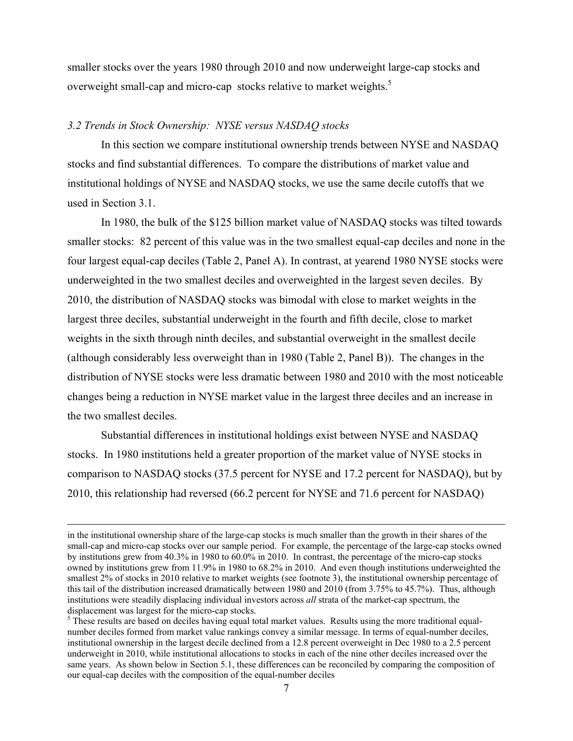smaller stocks over the years 1980 through 2010 and now underweight large-cap stocks and overweight small-cap and micro-cap stocks relative to market weights.<sup>5</sup>

## *3.2 Trends in Stock Ownership: NYSE versus NASDAQ stocks*

 In this section we compare institutional ownership trends between NYSE and NASDAQ stocks and find substantial differences. To compare the distributions of market value and institutional holdings of NYSE and NASDAQ stocks, we use the same decile cutoffs that we used in Section 3.1.

In 1980, the bulk of the \$125 billion market value of NASDAQ stocks was tilted towards smaller stocks: 82 percent of this value was in the two smallest equal-cap deciles and none in the four largest equal-cap deciles (Table 2, Panel A). In contrast, at yearend 1980 NYSE stocks were underweighted in the two smallest deciles and overweighted in the largest seven deciles. By 2010, the distribution of NASDAQ stocks was bimodal with close to market weights in the largest three deciles, substantial underweight in the fourth and fifth decile, close to market weights in the sixth through ninth deciles, and substantial overweight in the smallest decile (although considerably less overweight than in 1980 (Table 2, Panel B)). The changes in the distribution of NYSE stocks were less dramatic between 1980 and 2010 with the most noticeable changes being a reduction in NYSE market value in the largest three deciles and an increase in the two smallest deciles.

Substantial differences in institutional holdings exist between NYSE and NASDAQ stocks. In 1980 institutions held a greater proportion of the market value of NYSE stocks in comparison to NASDAQ stocks (37.5 percent for NYSE and 17.2 percent for NASDAQ), but by 2010, this relationship had reversed (66.2 percent for NYSE and 71.6 percent for NASDAQ)

in the institutional ownership share of the large-cap stocks is much smaller than the growth in their shares of the small-cap and micro-cap stocks over our sample period. For example, the percentage of the large-cap stocks owned by institutions grew from 40.3% in 1980 to 60.0% in 2010. In contrast, the percentage of the micro-cap stocks owned by institutions grew from 11.9% in 1980 to 68.2% in 2010. And even though institutions underweighted the smallest 2% of stocks in 2010 relative to market weights (see footnote 3), the institutional ownership percentage of this tail of the distribution increased dramatically between 1980 and 2010 (from 3.75% to 45.7%). Thus, although institutions were steadily displacing individual investors across *all* strata of the market-cap spectrum, the displacement was largest for the micro-cap stocks.

 $<sup>5</sup>$  These results are based on deciles having equal total market values. Results using the more traditional equal-</sup> number deciles formed from market value rankings convey a similar message. In terms of equal-number deciles, institutional ownership in the largest decile declined from a 12.8 percent overweight in Dec 1980 to a 2.5 percent underweight in 2010, while institutional allocations to stocks in each of the nine other deciles increased over the same years. As shown below in Section 5.1, these differences can be reconciled by comparing the composition of our equal-cap deciles with the composition of the equal-number deciles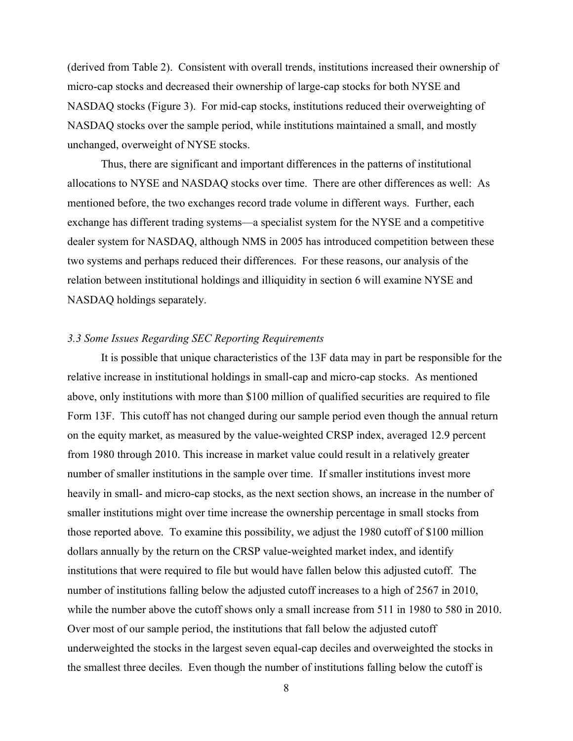(derived from Table 2). Consistent with overall trends, institutions increased their ownership of micro-cap stocks and decreased their ownership of large-cap stocks for both NYSE and NASDAQ stocks (Figure 3). For mid-cap stocks, institutions reduced their overweighting of NASDAQ stocks over the sample period, while institutions maintained a small, and mostly unchanged, overweight of NYSE stocks.

Thus, there are significant and important differences in the patterns of institutional allocations to NYSE and NASDAQ stocks over time. There are other differences as well: As mentioned before, the two exchanges record trade volume in different ways. Further, each exchange has different trading systems—a specialist system for the NYSE and a competitive dealer system for NASDAQ, although NMS in 2005 has introduced competition between these two systems and perhaps reduced their differences. For these reasons, our analysis of the relation between institutional holdings and illiquidity in section 6 will examine NYSE and NASDAQ holdings separately.

## *3.3 Some Issues Regarding SEC Reporting Requirements*

It is possible that unique characteristics of the 13F data may in part be responsible for the relative increase in institutional holdings in small-cap and micro-cap stocks. As mentioned above, only institutions with more than \$100 million of qualified securities are required to file Form 13F. This cutoff has not changed during our sample period even though the annual return on the equity market, as measured by the value-weighted CRSP index, averaged 12.9 percent from 1980 through 2010. This increase in market value could result in a relatively greater number of smaller institutions in the sample over time. If smaller institutions invest more heavily in small- and micro-cap stocks, as the next section shows, an increase in the number of smaller institutions might over time increase the ownership percentage in small stocks from those reported above. To examine this possibility, we adjust the 1980 cutoff of \$100 million dollars annually by the return on the CRSP value-weighted market index, and identify institutions that were required to file but would have fallen below this adjusted cutoff. The number of institutions falling below the adjusted cutoff increases to a high of 2567 in 2010, while the number above the cutoff shows only a small increase from 511 in 1980 to 580 in 2010. Over most of our sample period, the institutions that fall below the adjusted cutoff underweighted the stocks in the largest seven equal-cap deciles and overweighted the stocks in the smallest three deciles. Even though the number of institutions falling below the cutoff is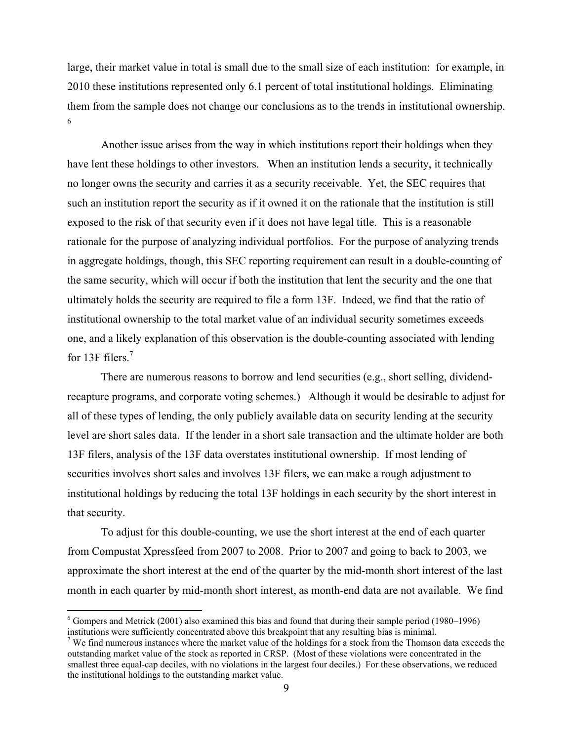large, their market value in total is small due to the small size of each institution: for example, in 2010 these institutions represented only 6.1 percent of total institutional holdings. Eliminating them from the sample does not change our conclusions as to the trends in institutional ownership. 6

 Another issue arises from the way in which institutions report their holdings when they have lent these holdings to other investors. When an institution lends a security, it technically no longer owns the security and carries it as a security receivable. Yet, the SEC requires that such an institution report the security as if it owned it on the rationale that the institution is still exposed to the risk of that security even if it does not have legal title. This is a reasonable rationale for the purpose of analyzing individual portfolios. For the purpose of analyzing trends in aggregate holdings, though, this SEC reporting requirement can result in a double-counting of the same security, which will occur if both the institution that lent the security and the one that ultimately holds the security are required to file a form 13F. Indeed, we find that the ratio of institutional ownership to the total market value of an individual security sometimes exceeds one, and a likely explanation of this observation is the double-counting associated with lending for 13F filers.<sup>7</sup>

There are numerous reasons to borrow and lend securities (e.g., short selling, dividendrecapture programs, and corporate voting schemes.) Although it would be desirable to adjust for all of these types of lending, the only publicly available data on security lending at the security level are short sales data. If the lender in a short sale transaction and the ultimate holder are both 13F filers, analysis of the 13F data overstates institutional ownership. If most lending of securities involves short sales and involves 13F filers, we can make a rough adjustment to institutional holdings by reducing the total 13F holdings in each security by the short interest in that security.

To adjust for this double-counting, we use the short interest at the end of each quarter from Compustat Xpressfeed from 2007 to 2008. Prior to 2007 and going to back to 2003, we approximate the short interest at the end of the quarter by the mid-month short interest of the last month in each quarter by mid-month short interest, as month-end data are not available. We find

 $\overline{a}$ 

 $6$  Gompers and Metrick (2001) also examined this bias and found that during their sample period (1980–1996) institutions were sufficiently concentrated above this breakpoint that any resulting bias is minimal. 7

 $\frac{1}{2}$  We find numerous instances where the market value of the holdings for a stock from the Thomson data exceeds the outstanding market value of the stock as reported in CRSP. (Most of these violations were concentrated in the smallest three equal-cap deciles, with no violations in the largest four deciles.) For these observations, we reduced the institutional holdings to the outstanding market value.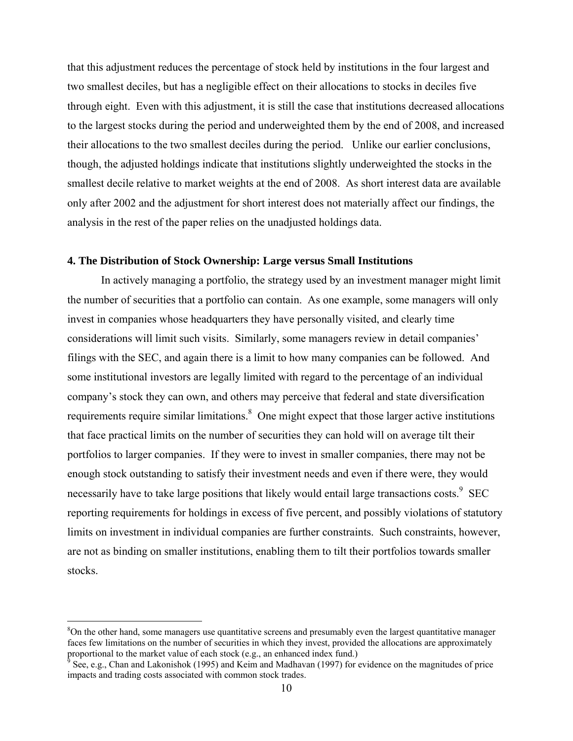that this adjustment reduces the percentage of stock held by institutions in the four largest and two smallest deciles, but has a negligible effect on their allocations to stocks in deciles five through eight. Even with this adjustment, it is still the case that institutions decreased allocations to the largest stocks during the period and underweighted them by the end of 2008, and increased their allocations to the two smallest deciles during the period. Unlike our earlier conclusions, though, the adjusted holdings indicate that institutions slightly underweighted the stocks in the smallest decile relative to market weights at the end of 2008. As short interest data are available only after 2002 and the adjustment for short interest does not materially affect our findings, the analysis in the rest of the paper relies on the unadjusted holdings data.

#### **4. The Distribution of Stock Ownership: Large versus Small Institutions**

 In actively managing a portfolio, the strategy used by an investment manager might limit the number of securities that a portfolio can contain. As one example, some managers will only invest in companies whose headquarters they have personally visited, and clearly time considerations will limit such visits. Similarly, some managers review in detail companies' filings with the SEC, and again there is a limit to how many companies can be followed. And some institutional investors are legally limited with regard to the percentage of an individual company's stock they can own, and others may perceive that federal and state diversification requirements require similar limitations.<sup>8</sup> One might expect that those larger active institutions that face practical limits on the number of securities they can hold will on average tilt their portfolios to larger companies. If they were to invest in smaller companies, there may not be enough stock outstanding to satisfy their investment needs and even if there were, they would necessarily have to take large positions that likely would entail large transactions costs.<sup>9</sup> SEC reporting requirements for holdings in excess of five percent, and possibly violations of statutory limits on investment in individual companies are further constraints. Such constraints, however, are not as binding on smaller institutions, enabling them to tilt their portfolios towards smaller stocks.

<sup>&</sup>lt;sup>8</sup>On the other hand, some managers use quantitative screens and presumably even the largest quantitative manager faces few limitations on the number of securities in which they invest, provided the allocations are approximately proportional to the market value of each stock (e.g., an enhanced index fund.)

 $^9$  See, e.g., Chan and Lakonishok (1995) and Keim and Madhavan (1997) for evidence on the magnitudes of price impacts and trading costs associated with common stock trades.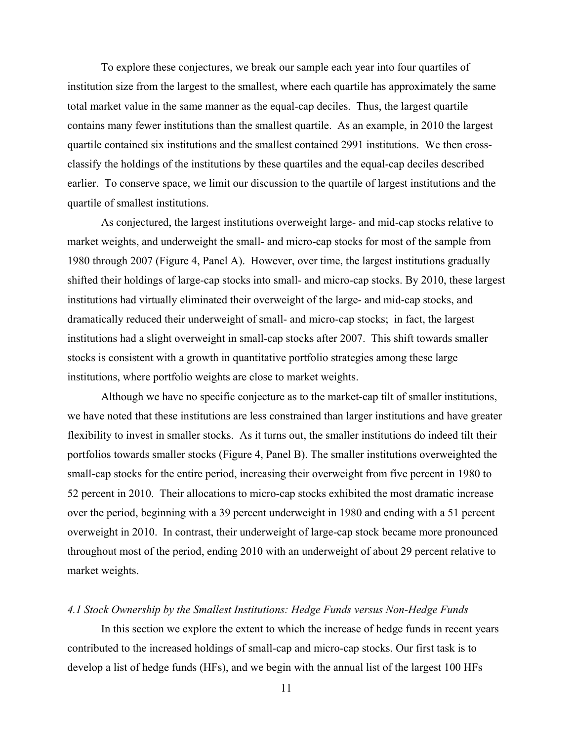To explore these conjectures, we break our sample each year into four quartiles of institution size from the largest to the smallest, where each quartile has approximately the same total market value in the same manner as the equal-cap deciles. Thus, the largest quartile contains many fewer institutions than the smallest quartile. As an example, in 2010 the largest quartile contained six institutions and the smallest contained 2991 institutions. We then crossclassify the holdings of the institutions by these quartiles and the equal-cap deciles described earlier. To conserve space, we limit our discussion to the quartile of largest institutions and the quartile of smallest institutions.

As conjectured, the largest institutions overweight large- and mid-cap stocks relative to market weights, and underweight the small- and micro-cap stocks for most of the sample from 1980 through 2007 (Figure 4, Panel A). However, over time, the largest institutions gradually shifted their holdings of large-cap stocks into small- and micro-cap stocks. By 2010, these largest institutions had virtually eliminated their overweight of the large- and mid-cap stocks, and dramatically reduced their underweight of small- and micro-cap stocks; in fact, the largest institutions had a slight overweight in small-cap stocks after 2007. This shift towards smaller stocks is consistent with a growth in quantitative portfolio strategies among these large institutions, where portfolio weights are close to market weights.

Although we have no specific conjecture as to the market-cap tilt of smaller institutions, we have noted that these institutions are less constrained than larger institutions and have greater flexibility to invest in smaller stocks. As it turns out, the smaller institutions do indeed tilt their portfolios towards smaller stocks (Figure 4, Panel B). The smaller institutions overweighted the small-cap stocks for the entire period, increasing their overweight from five percent in 1980 to 52 percent in 2010. Their allocations to micro-cap stocks exhibited the most dramatic increase over the period, beginning with a 39 percent underweight in 1980 and ending with a 51 percent overweight in 2010. In contrast, their underweight of large-cap stock became more pronounced throughout most of the period, ending 2010 with an underweight of about 29 percent relative to market weights.

#### *4.1 Stock Ownership by the Smallest Institutions: Hedge Funds versus Non-Hedge Funds*

In this section we explore the extent to which the increase of hedge funds in recent years contributed to the increased holdings of small-cap and micro-cap stocks. Our first task is to develop a list of hedge funds (HFs), and we begin with the annual list of the largest 100 HFs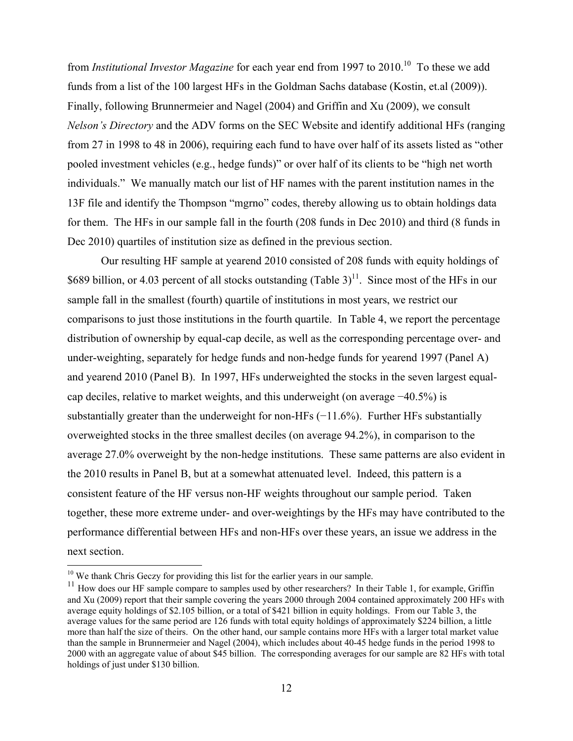from *Institutional Investor Magazine* for each year end from 1997 to 2010.<sup>10</sup> To these we add funds from a list of the 100 largest HFs in the Goldman Sachs database (Kostin, et.al (2009)). Finally, following Brunnermeier and Nagel (2004) and Griffin and Xu (2009), we consult *Nelson's Directory* and the ADV forms on the SEC Website and identify additional HFs (ranging from 27 in 1998 to 48 in 2006), requiring each fund to have over half of its assets listed as "other pooled investment vehicles (e.g., hedge funds)" or over half of its clients to be "high net worth individuals." We manually match our list of HF names with the parent institution names in the 13F file and identify the Thompson "mgrno" codes, thereby allowing us to obtain holdings data for them. The HFs in our sample fall in the fourth (208 funds in Dec 2010) and third (8 funds in Dec 2010) quartiles of institution size as defined in the previous section.

Our resulting HF sample at yearend 2010 consisted of 208 funds with equity holdings of \$689 billion, or 4.03 percent of all stocks outstanding (Table  $3$ )<sup>11</sup>. Since most of the HFs in our sample fall in the smallest (fourth) quartile of institutions in most years, we restrict our comparisons to just those institutions in the fourth quartile. In Table 4, we report the percentage distribution of ownership by equal-cap decile, as well as the corresponding percentage over- and under-weighting, separately for hedge funds and non-hedge funds for yearend 1997 (Panel A) and yearend 2010 (Panel B). In 1997, HFs underweighted the stocks in the seven largest equalcap deciles, relative to market weights, and this underweight (on average −40.5%) is substantially greater than the underweight for non-HFs (−11.6%). Further HFs substantially overweighted stocks in the three smallest deciles (on average 94.2%), in comparison to the average 27.0% overweight by the non-hedge institutions. These same patterns are also evident in the 2010 results in Panel B, but at a somewhat attenuated level. Indeed, this pattern is a consistent feature of the HF versus non-HF weights throughout our sample period. Taken together, these more extreme under- and over-weightings by the HFs may have contributed to the performance differential between HFs and non-HFs over these years, an issue we address in the next section.

 $\overline{a}$ 

<sup>&</sup>lt;sup>10</sup> We thank Chris Geczy for providing this list for the earlier years in our sample.

 $11$  How does our HF sample compare to samples used by other researchers? In their Table 1, for example, Griffin and Xu (2009) report that their sample covering the years 2000 through 2004 contained approximately 200 HFs with average equity holdings of \$2.105 billion, or a total of \$421 billion in equity holdings. From our Table 3, the average values for the same period are 126 funds with total equity holdings of approximately \$224 billion, a little more than half the size of theirs. On the other hand, our sample contains more HFs with a larger total market value than the sample in Brunnermeier and Nagel (2004), which includes about 40-45 hedge funds in the period 1998 to 2000 with an aggregate value of about \$45 billion. The corresponding averages for our sample are 82 HFs with total holdings of just under \$130 billion.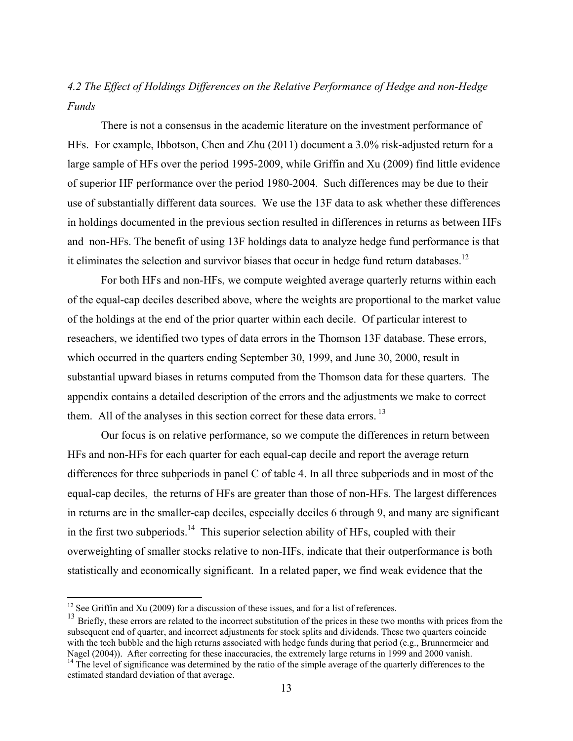# *4.2 The Effect of Holdings Differences on the Relative Performance of Hedge and non-Hedge Funds*

There is not a consensus in the academic literature on the investment performance of HFs. For example, Ibbotson, Chen and Zhu (2011) document a 3.0% risk-adjusted return for a large sample of HFs over the period 1995-2009, while Griffin and Xu (2009) find little evidence of superior HF performance over the period 1980-2004. Such differences may be due to their use of substantially different data sources. We use the 13F data to ask whether these differences in holdings documented in the previous section resulted in differences in returns as between HFs and non-HFs. The benefit of using 13F holdings data to analyze hedge fund performance is that it eliminates the selection and survivor biases that occur in hedge fund return databases.<sup>12</sup>

For both HFs and non-HFs, we compute weighted average quarterly returns within each of the equal-cap deciles described above, where the weights are proportional to the market value of the holdings at the end of the prior quarter within each decile. Of particular interest to reseachers, we identified two types of data errors in the Thomson 13F database. These errors, which occurred in the quarters ending September 30, 1999, and June 30, 2000, result in substantial upward biases in returns computed from the Thomson data for these quarters. The appendix contains a detailed description of the errors and the adjustments we make to correct them. All of the analyses in this section correct for these data errors.<sup>13</sup>

Our focus is on relative performance, so we compute the differences in return between HFs and non-HFs for each quarter for each equal-cap decile and report the average return differences for three subperiods in panel C of table 4. In all three subperiods and in most of the equal-cap deciles, the returns of HFs are greater than those of non-HFs. The largest differences in returns are in the smaller-cap deciles, especially deciles 6 through 9, and many are significant in the first two subperiods.<sup>14</sup> This superior selection ability of HFs, coupled with their overweighting of smaller stocks relative to non-HFs, indicate that their outperformance is both statistically and economically significant. In a related paper, we find weak evidence that the

 $\overline{a}$ 

 $12$  See Griffin and Xu (2009) for a discussion of these issues, and for a list of references.

<sup>&</sup>lt;sup>13</sup> Briefly, these errors are related to the incorrect substitution of the prices in these two months with prices from the subsequent end of quarter, and incorrect adjustments for stock splits and dividends. These two quarters coincide with the tech bubble and the high returns associated with hedge funds during that period (e.g., Brunnermeier and Nagel (2004)). After correcting for these inaccuracies, the extremely large returns in 1999 and 2000 vanish.

 $^{14}$  The level of significance was determined by the ratio of the simple average of the quarterly differences to the estimated standard deviation of that average.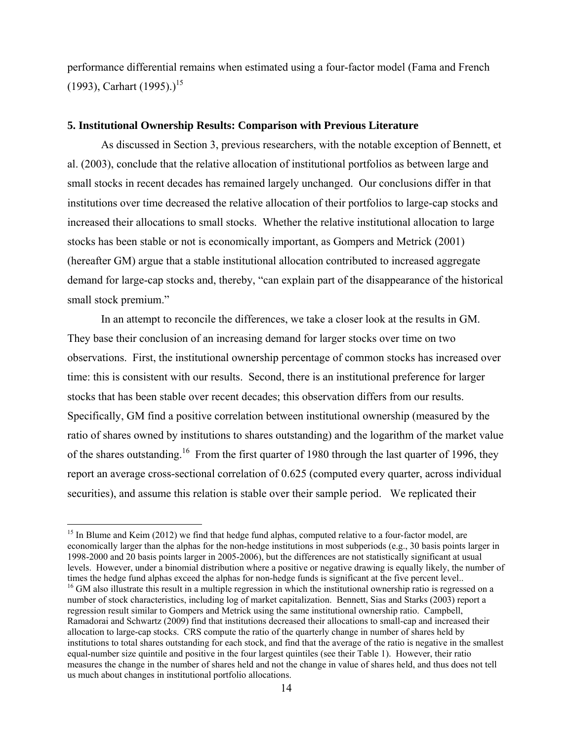performance differential remains when estimated using a four-factor model (Fama and French (1993), Carhart (1995).)<sup>15</sup>

# **5. Institutional Ownership Results: Comparison with Previous Literature**

As discussed in Section 3, previous researchers, with the notable exception of Bennett, et al. (2003), conclude that the relative allocation of institutional portfolios as between large and small stocks in recent decades has remained largely unchanged. Our conclusions differ in that institutions over time decreased the relative allocation of their portfolios to large-cap stocks and increased their allocations to small stocks. Whether the relative institutional allocation to large stocks has been stable or not is economically important, as Gompers and Metrick (2001) (hereafter GM) argue that a stable institutional allocation contributed to increased aggregate demand for large-cap stocks and, thereby, "can explain part of the disappearance of the historical small stock premium."

In an attempt to reconcile the differences, we take a closer look at the results in GM. They base their conclusion of an increasing demand for larger stocks over time on two observations. First, the institutional ownership percentage of common stocks has increased over time: this is consistent with our results. Second, there is an institutional preference for larger stocks that has been stable over recent decades; this observation differs from our results. Specifically, GM find a positive correlation between institutional ownership (measured by the ratio of shares owned by institutions to shares outstanding) and the logarithm of the market value of the shares outstanding.<sup>16</sup> From the first quarter of 1980 through the last quarter of 1996, they report an average cross-sectional correlation of 0.625 (computed every quarter, across individual securities), and assume this relation is stable over their sample period. We replicated their

<sup>&</sup>lt;sup>15</sup> In Blume and Keim (2012) we find that hedge fund alphas, computed relative to a four-factor model, are economically larger than the alphas for the non-hedge institutions in most subperiods (e.g., 30 basis points larger in 1998-2000 and 20 basis points larger in 2005-2006), but the differences are not statistically significant at usual levels. However, under a binomial distribution where a positive or negative drawing is equally likely, the number of times the hedge fund alphas exceed the alphas for non-hedge funds is significant at the five percent level..<br><sup>16</sup> GM also illustrate this result in a multiple regression in which the institutional ownership ratio is regres number of stock characteristics, including log of market capitalization. Bennett, Sias and Starks (2003) report a regression result similar to Gompers and Metrick using the same institutional ownership ratio. Campbell, Ramadorai and Schwartz (2009) find that institutions decreased their allocations to small-cap and increased their allocation to large-cap stocks. CRS compute the ratio of the quarterly change in number of shares held by institutions to total shares outstanding for each stock, and find that the average of the ratio is negative in the smallest equal-number size quintile and positive in the four largest quintiles (see their Table 1). However, their ratio measures the change in the number of shares held and not the change in value of shares held, and thus does not tell us much about changes in institutional portfolio allocations.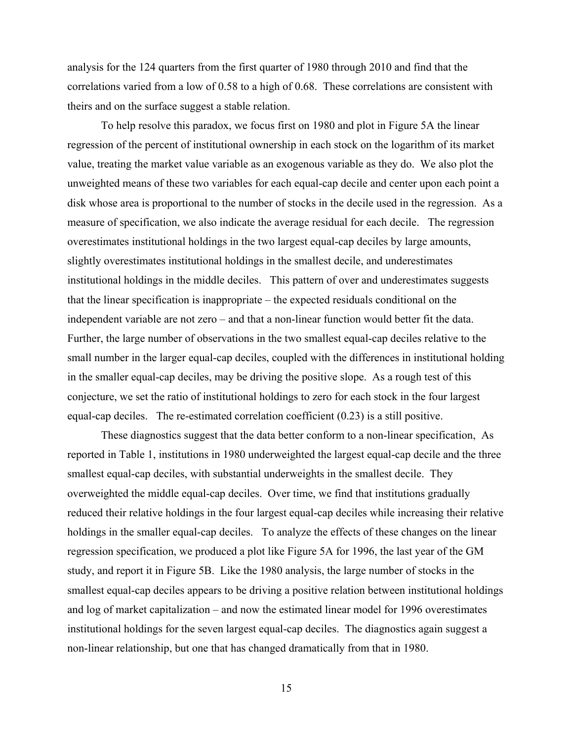analysis for the 124 quarters from the first quarter of 1980 through 2010 and find that the correlations varied from a low of 0.58 to a high of 0.68. These correlations are consistent with theirs and on the surface suggest a stable relation.

 To help resolve this paradox, we focus first on 1980 and plot in Figure 5A the linear regression of the percent of institutional ownership in each stock on the logarithm of its market value, treating the market value variable as an exogenous variable as they do. We also plot the unweighted means of these two variables for each equal-cap decile and center upon each point a disk whose area is proportional to the number of stocks in the decile used in the regression. As a measure of specification, we also indicate the average residual for each decile. The regression overestimates institutional holdings in the two largest equal-cap deciles by large amounts, slightly overestimates institutional holdings in the smallest decile, and underestimates institutional holdings in the middle deciles. This pattern of over and underestimates suggests that the linear specification is inappropriate – the expected residuals conditional on the independent variable are not zero – and that a non-linear function would better fit the data. Further, the large number of observations in the two smallest equal-cap deciles relative to the small number in the larger equal-cap deciles, coupled with the differences in institutional holding in the smaller equal-cap deciles, may be driving the positive slope. As a rough test of this conjecture, we set the ratio of institutional holdings to zero for each stock in the four largest equal-cap deciles. The re-estimated correlation coefficient (0.23) is a still positive.

 These diagnostics suggest that the data better conform to a non-linear specification, As reported in Table 1, institutions in 1980 underweighted the largest equal-cap decile and the three smallest equal-cap deciles, with substantial underweights in the smallest decile. They overweighted the middle equal-cap deciles. Over time, we find that institutions gradually reduced their relative holdings in the four largest equal-cap deciles while increasing their relative holdings in the smaller equal-cap deciles. To analyze the effects of these changes on the linear regression specification, we produced a plot like Figure 5A for 1996, the last year of the GM study, and report it in Figure 5B. Like the 1980 analysis, the large number of stocks in the smallest equal-cap deciles appears to be driving a positive relation between institutional holdings and log of market capitalization – and now the estimated linear model for 1996 overestimates institutional holdings for the seven largest equal-cap deciles. The diagnostics again suggest a non-linear relationship, but one that has changed dramatically from that in 1980.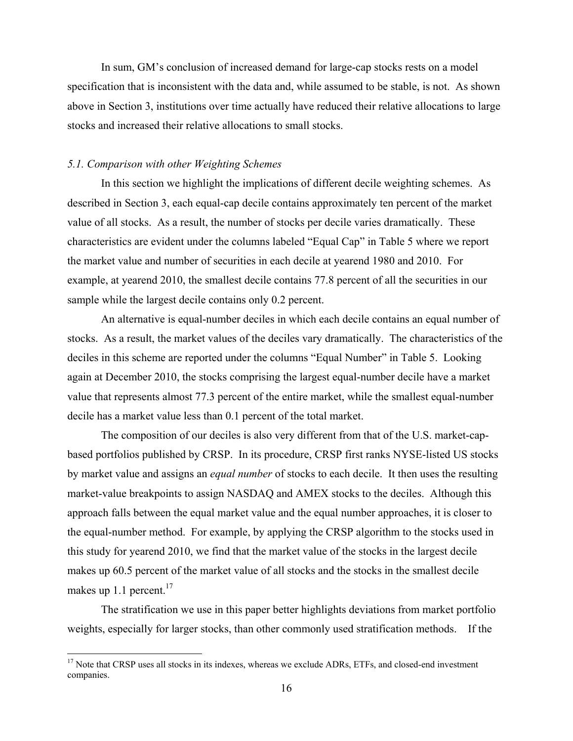In sum, GM's conclusion of increased demand for large-cap stocks rests on a model specification that is inconsistent with the data and, while assumed to be stable, is not. As shown above in Section 3, institutions over time actually have reduced their relative allocations to large stocks and increased their relative allocations to small stocks.

## *5.1. Comparison with other Weighting Schemes*

1

 In this section we highlight the implications of different decile weighting schemes. As described in Section 3, each equal-cap decile contains approximately ten percent of the market value of all stocks. As a result, the number of stocks per decile varies dramatically. These characteristics are evident under the columns labeled "Equal Cap" in Table 5 where we report the market value and number of securities in each decile at yearend 1980 and 2010. For example, at yearend 2010, the smallest decile contains 77.8 percent of all the securities in our sample while the largest decile contains only 0.2 percent.

 An alternative is equal-number deciles in which each decile contains an equal number of stocks. As a result, the market values of the deciles vary dramatically. The characteristics of the deciles in this scheme are reported under the columns "Equal Number" in Table 5. Looking again at December 2010, the stocks comprising the largest equal-number decile have a market value that represents almost 77.3 percent of the entire market, while the smallest equal-number decile has a market value less than 0.1 percent of the total market.

The composition of our deciles is also very different from that of the U.S. market-capbased portfolios published by CRSP. In its procedure, CRSP first ranks NYSE-listed US stocks by market value and assigns an *equal number* of stocks to each decile. It then uses the resulting market-value breakpoints to assign NASDAQ and AMEX stocks to the deciles. Although this approach falls between the equal market value and the equal number approaches, it is closer to the equal-number method. For example, by applying the CRSP algorithm to the stocks used in this study for yearend 2010, we find that the market value of the stocks in the largest decile makes up 60.5 percent of the market value of all stocks and the stocks in the smallest decile makes up 1.1 percent. $17$ 

 The stratification we use in this paper better highlights deviations from market portfolio weights, especially for larger stocks, than other commonly used stratification methods. If the

<sup>&</sup>lt;sup>17</sup> Note that CRSP uses all stocks in its indexes, whereas we exclude ADRs, ETFs, and closed-end investment companies.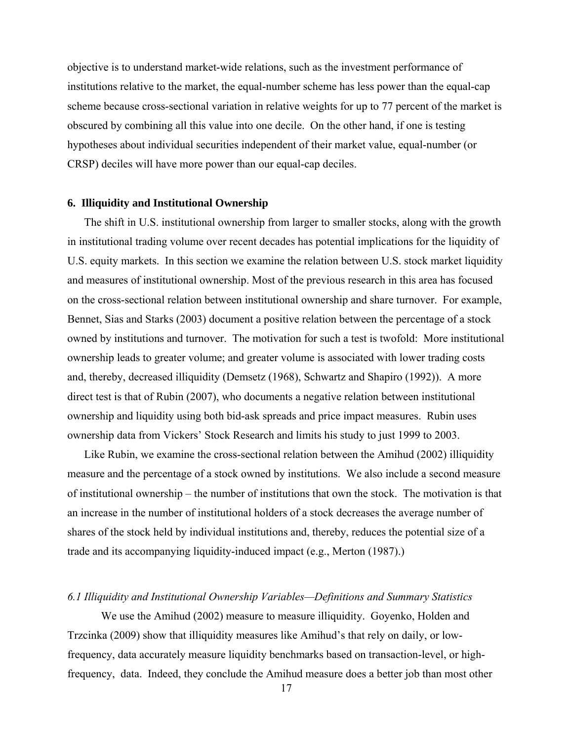objective is to understand market-wide relations, such as the investment performance of institutions relative to the market, the equal-number scheme has less power than the equal-cap scheme because cross-sectional variation in relative weights for up to 77 percent of the market is obscured by combining all this value into one decile. On the other hand, if one is testing hypotheses about individual securities independent of their market value, equal-number (or CRSP) deciles will have more power than our equal-cap deciles.

#### **6. Illiquidity and Institutional Ownership**

The shift in U.S. institutional ownership from larger to smaller stocks, along with the growth in institutional trading volume over recent decades has potential implications for the liquidity of U.S. equity markets. In this section we examine the relation between U.S. stock market liquidity and measures of institutional ownership. Most of the previous research in this area has focused on the cross-sectional relation between institutional ownership and share turnover. For example, Bennet, Sias and Starks (2003) document a positive relation between the percentage of a stock owned by institutions and turnover. The motivation for such a test is twofold: More institutional ownership leads to greater volume; and greater volume is associated with lower trading costs and, thereby, decreased illiquidity (Demsetz (1968), Schwartz and Shapiro (1992)). A more direct test is that of Rubin (2007), who documents a negative relation between institutional ownership and liquidity using both bid-ask spreads and price impact measures. Rubin uses ownership data from Vickers' Stock Research and limits his study to just 1999 to 2003.

Like Rubin, we examine the cross-sectional relation between the Amihud (2002) illiquidity measure and the percentage of a stock owned by institutions. We also include a second measure of institutional ownership – the number of institutions that own the stock. The motivation is that an increase in the number of institutional holders of a stock decreases the average number of shares of the stock held by individual institutions and, thereby, reduces the potential size of a trade and its accompanying liquidity-induced impact (e.g., Merton (1987).)

# *6.1 Illiquidity and Institutional Ownership Variables—Definitions and Summary Statistics*

We use the Amihud (2002) measure to measure illiquidity. Goyenko, Holden and Trzcinka (2009) show that illiquidity measures like Amihud's that rely on daily, or lowfrequency, data accurately measure liquidity benchmarks based on transaction-level, or highfrequency, data. Indeed, they conclude the Amihud measure does a better job than most other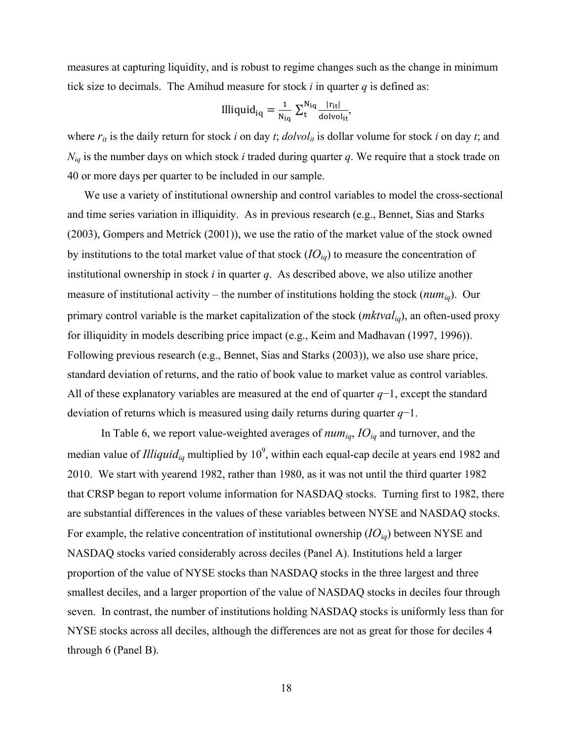measures at capturing liquidity, and is robust to regime changes such as the change in minimum tick size to decimals. The Amihud measure for stock  $i$  in quarter  $q$  is defined as:

$$
llliquid_{iq} = \frac{1}{N_{iq}} \sum_{t}^{N_{iq}} \frac{|r_{it}|}{\text{dolvol}_{it}},
$$

where  $r_{it}$  is the daily return for stock *i* on day *t*; *dolvol<sub>it</sub>* is dollar volume for stock *i* on day *t*; and *Niq* is the number days on which stock *i* traded during quarter *q*. We require that a stock trade on 40 or more days per quarter to be included in our sample.

We use a variety of institutional ownership and control variables to model the cross-sectional and time series variation in illiquidity. As in previous research (e.g., Bennet, Sias and Starks (2003), Gompers and Metrick (2001)), we use the ratio of the market value of the stock owned by institutions to the total market value of that stock  $(D_{iq})$  to measure the concentration of institutional ownership in stock *i* in quarter *q*. As described above, we also utilize another measure of institutional activity – the number of institutions holding the stock (*numiq*). Our primary control variable is the market capitalization of the stock (*mktvaliq*), an often-used proxy for illiquidity in models describing price impact (e.g., Keim and Madhavan (1997, 1996)). Following previous research (e.g., Bennet, Sias and Starks (2003)), we also use share price, standard deviation of returns, and the ratio of book value to market value as control variables. All of these explanatory variables are measured at the end of quarter *q*−1, except the standard deviation of returns which is measured using daily returns during quarter *q*−1.

In Table 6, we report value-weighted averages of  $num_{iq}$ ,  $IO_{iq}$  and turnover, and the median value of *Illiquid<sub>iq</sub>* multiplied by 10<sup>9</sup>, within each equal-cap decile at years end 1982 and 2010. We start with yearend 1982, rather than 1980, as it was not until the third quarter 1982 that CRSP began to report volume information for NASDAQ stocks. Turning first to 1982, there are substantial differences in the values of these variables between NYSE and NASDAQ stocks. For example, the relative concentration of institutional ownership  $(IO_{iq})$  between NYSE and NASDAQ stocks varied considerably across deciles (Panel A). Institutions held a larger proportion of the value of NYSE stocks than NASDAQ stocks in the three largest and three smallest deciles, and a larger proportion of the value of NASDAQ stocks in deciles four through seven. In contrast, the number of institutions holding NASDAQ stocks is uniformly less than for NYSE stocks across all deciles, although the differences are not as great for those for deciles 4 through 6 (Panel B).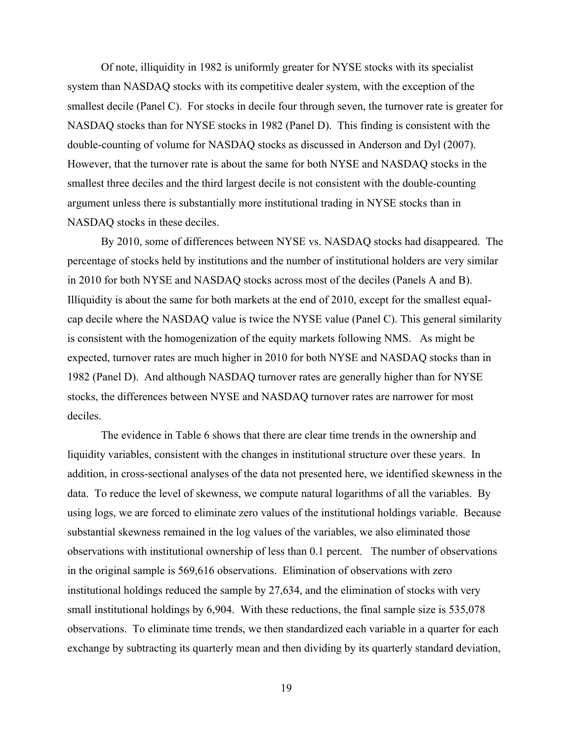Of note, illiquidity in 1982 is uniformly greater for NYSE stocks with its specialist system than NASDAQ stocks with its competitive dealer system, with the exception of the smallest decile (Panel C). For stocks in decile four through seven, the turnover rate is greater for NASDAQ stocks than for NYSE stocks in 1982 (Panel D). This finding is consistent with the double-counting of volume for NASDAQ stocks as discussed in Anderson and Dyl (2007). However, that the turnover rate is about the same for both NYSE and NASDAQ stocks in the smallest three deciles and the third largest decile is not consistent with the double-counting argument unless there is substantially more institutional trading in NYSE stocks than in NASDAQ stocks in these deciles.

 By 2010, some of differences between NYSE vs. NASDAQ stocks had disappeared. The percentage of stocks held by institutions and the number of institutional holders are very similar in 2010 for both NYSE and NASDAQ stocks across most of the deciles (Panels A and B). Illiquidity is about the same for both markets at the end of 2010, except for the smallest equalcap decile where the NASDAQ value is twice the NYSE value (Panel C). This general similarity is consistent with the homogenization of the equity markets following NMS. As might be expected, turnover rates are much higher in 2010 for both NYSE and NASDAQ stocks than in 1982 (Panel D). And although NASDAQ turnover rates are generally higher than for NYSE stocks, the differences between NYSE and NASDAQ turnover rates are narrower for most deciles.

 The evidence in Table 6 shows that there are clear time trends in the ownership and liquidity variables, consistent with the changes in institutional structure over these years. In addition, in cross-sectional analyses of the data not presented here, we identified skewness in the data. To reduce the level of skewness, we compute natural logarithms of all the variables. By using logs, we are forced to eliminate zero values of the institutional holdings variable. Because substantial skewness remained in the log values of the variables, we also eliminated those observations with institutional ownership of less than 0.1 percent. The number of observations in the original sample is 569,616 observations. Elimination of observations with zero institutional holdings reduced the sample by 27,634, and the elimination of stocks with very small institutional holdings by 6,904. With these reductions, the final sample size is 535,078 observations. To eliminate time trends, we then standardized each variable in a quarter for each exchange by subtracting its quarterly mean and then dividing by its quarterly standard deviation,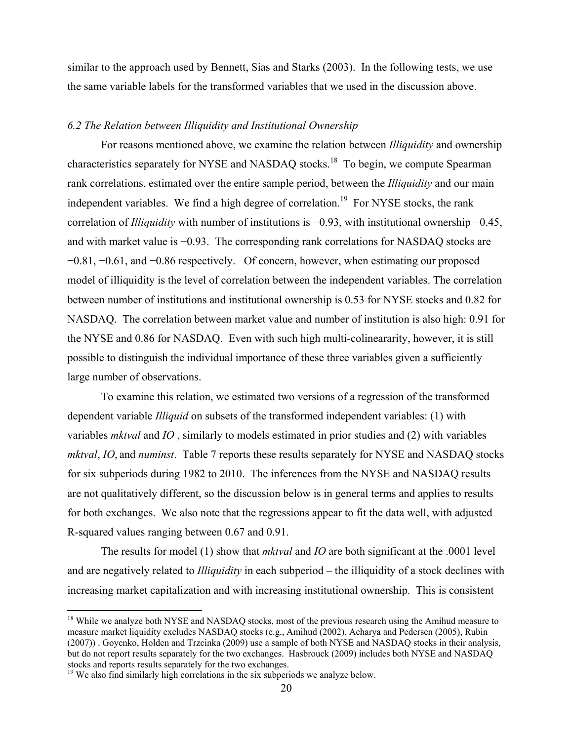similar to the approach used by Bennett, Sias and Starks (2003). In the following tests, we use the same variable labels for the transformed variables that we used in the discussion above.

# *6.2 The Relation between Illiquidity and Institutional Ownership*

 For reasons mentioned above, we examine the relation between *Illiquidity* and ownership characteristics separately for NYSE and NASDAQ stocks.<sup>18</sup> To begin, we compute Spearman rank correlations, estimated over the entire sample period, between the *Illiquidity* and our main independent variables. We find a high degree of correlation.<sup>19</sup> For NYSE stocks, the rank correlation of *Illiquidity* with number of institutions is −0.93, with institutional ownership −0.45, and with market value is −0.93. The corresponding rank correlations for NASDAQ stocks are −0.81, −0.61, and −0.86 respectively. Of concern, however, when estimating our proposed model of illiquidity is the level of correlation between the independent variables. The correlation between number of institutions and institutional ownership is 0.53 for NYSE stocks and 0.82 for NASDAQ. The correlation between market value and number of institution is also high: 0.91 for the NYSE and 0.86 for NASDAQ. Even with such high multi-colineararity, however, it is still possible to distinguish the individual importance of these three variables given a sufficiently large number of observations.

To examine this relation, we estimated two versions of a regression of the transformed dependent variable *Illiquid* on subsets of the transformed independent variables: (1) with variables *mktval* and *IO* , similarly to models estimated in prior studies and (2) with variables *mktval*, *IO*, and *numinst*. Table 7 reports these results separately for NYSE and NASDAQ stocks for six subperiods during 1982 to 2010. The inferences from the NYSE and NASDAQ results are not qualitatively different, so the discussion below is in general terms and applies to results for both exchanges. We also note that the regressions appear to fit the data well, with adjusted R-squared values ranging between 0.67 and 0.91.

The results for model (1) show that *mktval* and *IO* are both significant at the .0001 level and are negatively related to *Illiquidity* in each subperiod – the illiquidity of a stock declines with increasing market capitalization and with increasing institutional ownership. This is consistent

<u>.</u>

<sup>&</sup>lt;sup>18</sup> While we analyze both NYSE and NASDAQ stocks, most of the previous research using the Amihud measure to measure market liquidity excludes NASDAQ stocks (e.g., Amihud (2002), Acharya and Pedersen (2005), Rubin (2007)) . Goyenko, Holden and Trzcinka (2009) use a sample of both NYSE and NASDAQ stocks in their analysis, but do not report results separately for the two exchanges. Hasbrouck (2009) includes both NYSE and NASDAQ stocks and reports results separately for the two exchanges.

<sup>&</sup>lt;sup>19</sup> We also find similarly high correlations in the six subperiods we analyze below.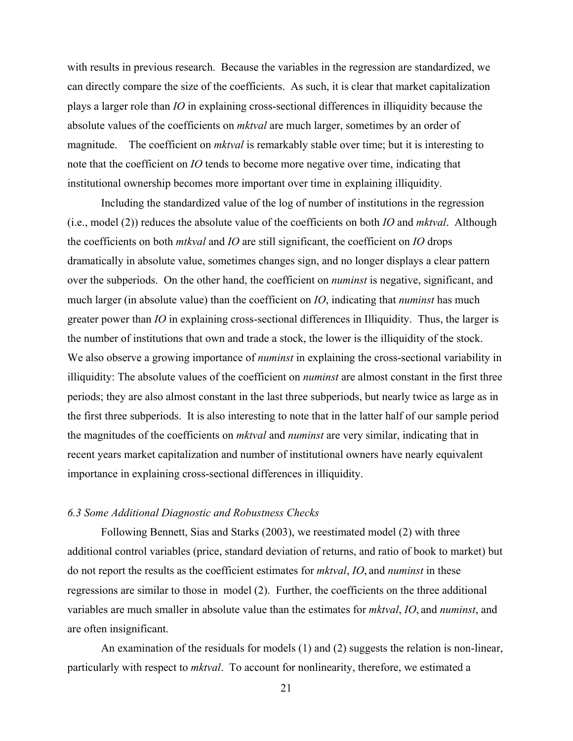with results in previous research. Because the variables in the regression are standardized, we can directly compare the size of the coefficients. As such, it is clear that market capitalization plays a larger role than *IO* in explaining cross-sectional differences in illiquidity because the absolute values of the coefficients on *mktval* are much larger, sometimes by an order of magnitude. The coefficient on *mktval* is remarkably stable over time; but it is interesting to note that the coefficient on *IO* tends to become more negative over time, indicating that institutional ownership becomes more important over time in explaining illiquidity.

Including the standardized value of the log of number of institutions in the regression (i.e., model (2)) reduces the absolute value of the coefficients on both *IO* and *mktval*. Although the coefficients on both *mtkval* and *IO* are still significant, the coefficient on *IO* drops dramatically in absolute value, sometimes changes sign, and no longer displays a clear pattern over the subperiods. On the other hand, the coefficient on *numinst* is negative, significant, and much larger (in absolute value) than the coefficient on *IO*, indicating that *numinst* has much greater power than *IO* in explaining cross-sectional differences in Illiquidity. Thus, the larger is the number of institutions that own and trade a stock, the lower is the illiquidity of the stock. We also observe a growing importance of *numinst* in explaining the cross-sectional variability in illiquidity: The absolute values of the coefficient on *numinst* are almost constant in the first three periods; they are also almost constant in the last three subperiods, but nearly twice as large as in the first three subperiods. It is also interesting to note that in the latter half of our sample period the magnitudes of the coefficients on *mktval* and *numinst* are very similar, indicating that in recent years market capitalization and number of institutional owners have nearly equivalent importance in explaining cross-sectional differences in illiquidity.

#### *6.3 Some Additional Diagnostic and Robustness Checks*

Following Bennett, Sias and Starks (2003), we reestimated model (2) with three additional control variables (price, standard deviation of returns, and ratio of book to market) but do not report the results as the coefficient estimates for *mktval*, *IO*, and *numinst* in these regressions are similar to those in model (2). Further, the coefficients on the three additional variables are much smaller in absolute value than the estimates for *mktval*, *IO*, and *numinst*, and are often insignificant.

An examination of the residuals for models (1) and (2) suggests the relation is non-linear, particularly with respect to *mktval*. To account for nonlinearity, therefore, we estimated a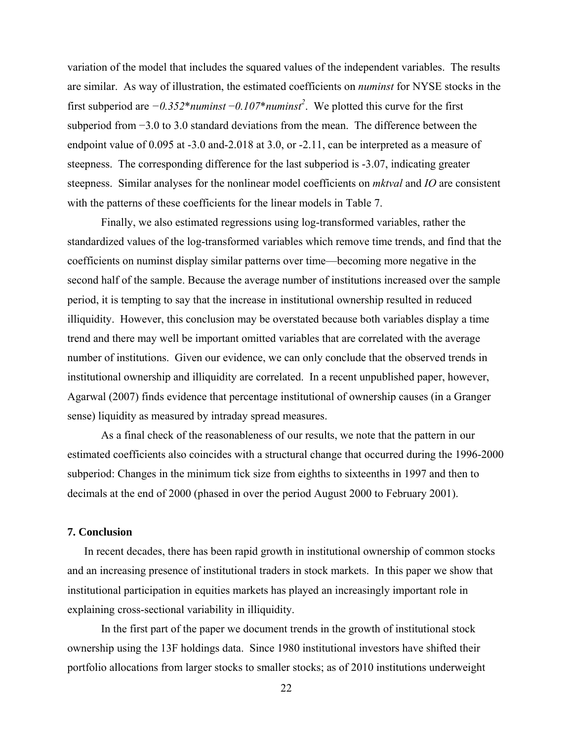variation of the model that includes the squared values of the independent variables. The results are similar. As way of illustration, the estimated coefficients on *numinst* for NYSE stocks in the first subperiod are *−0.352*\**numinst* −*0.107*\**numinst<sup>2</sup>* . We plotted this curve for the first subperiod from −3.0 to 3.0 standard deviations from the mean. The difference between the endpoint value of 0.095 at -3.0 and-2.018 at 3.0, or -2.11, can be interpreted as a measure of steepness. The corresponding difference for the last subperiod is -3.07, indicating greater steepness. Similar analyses for the nonlinear model coefficients on *mktval* and *IO* are consistent with the patterns of these coefficients for the linear models in Table 7.

Finally, we also estimated regressions using log-transformed variables, rather the standardized values of the log-transformed variables which remove time trends, and find that the coefficients on numinst display similar patterns over time—becoming more negative in the second half of the sample. Because the average number of institutions increased over the sample period, it is tempting to say that the increase in institutional ownership resulted in reduced illiquidity. However, this conclusion may be overstated because both variables display a time trend and there may well be important omitted variables that are correlated with the average number of institutions. Given our evidence, we can only conclude that the observed trends in institutional ownership and illiquidity are correlated. In a recent unpublished paper, however, Agarwal (2007) finds evidence that percentage institutional of ownership causes (in a Granger sense) liquidity as measured by intraday spread measures.

As a final check of the reasonableness of our results, we note that the pattern in our estimated coefficients also coincides with a structural change that occurred during the 1996-2000 subperiod: Changes in the minimum tick size from eighths to sixteenths in 1997 and then to decimals at the end of 2000 (phased in over the period August 2000 to February 2001).

## **7. Conclusion**

In recent decades, there has been rapid growth in institutional ownership of common stocks and an increasing presence of institutional traders in stock markets. In this paper we show that institutional participation in equities markets has played an increasingly important role in explaining cross-sectional variability in illiquidity.

In the first part of the paper we document trends in the growth of institutional stock ownership using the 13F holdings data. Since 1980 institutional investors have shifted their portfolio allocations from larger stocks to smaller stocks; as of 2010 institutions underweight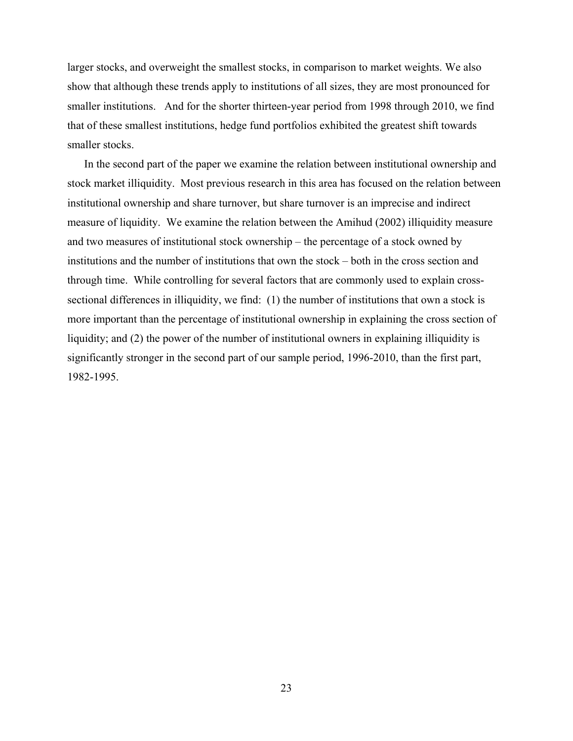larger stocks, and overweight the smallest stocks, in comparison to market weights. We also show that although these trends apply to institutions of all sizes, they are most pronounced for smaller institutions. And for the shorter thirteen-year period from 1998 through 2010, we find that of these smallest institutions, hedge fund portfolios exhibited the greatest shift towards smaller stocks.

In the second part of the paper we examine the relation between institutional ownership and stock market illiquidity. Most previous research in this area has focused on the relation between institutional ownership and share turnover, but share turnover is an imprecise and indirect measure of liquidity. We examine the relation between the Amihud (2002) illiquidity measure and two measures of institutional stock ownership – the percentage of a stock owned by institutions and the number of institutions that own the stock – both in the cross section and through time. While controlling for several factors that are commonly used to explain crosssectional differences in illiquidity, we find: (1) the number of institutions that own a stock is more important than the percentage of institutional ownership in explaining the cross section of liquidity; and (2) the power of the number of institutional owners in explaining illiquidity is significantly stronger in the second part of our sample period, 1996-2010, than the first part, 1982-1995.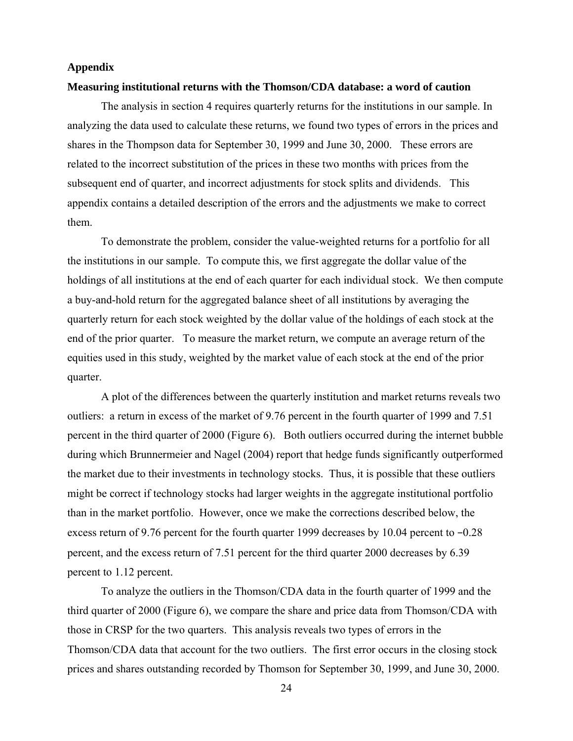#### **Appendix**

#### **Measuring institutional returns with the Thomson/CDA database: a word of caution**

 The analysis in section 4 requires quarterly returns for the institutions in our sample. In analyzing the data used to calculate these returns, we found two types of errors in the prices and shares in the Thompson data for September 30, 1999 and June 30, 2000. These errors are related to the incorrect substitution of the prices in these two months with prices from the subsequent end of quarter, and incorrect adjustments for stock splits and dividends. This appendix contains a detailed description of the errors and the adjustments we make to correct them.

To demonstrate the problem, consider the value-weighted returns for a portfolio for all the institutions in our sample. To compute this, we first aggregate the dollar value of the holdings of all institutions at the end of each quarter for each individual stock. We then compute a buy-and-hold return for the aggregated balance sheet of all institutions by averaging the quarterly return for each stock weighted by the dollar value of the holdings of each stock at the end of the prior quarter. To measure the market return, we compute an average return of the equities used in this study, weighted by the market value of each stock at the end of the prior quarter.

 A plot of the differences between the quarterly institution and market returns reveals two outliers: a return in excess of the market of 9.76 percent in the fourth quarter of 1999 and 7.51 percent in the third quarter of 2000 (Figure 6). Both outliers occurred during the internet bubble during which Brunnermeier and Nagel (2004) report that hedge funds significantly outperformed the market due to their investments in technology stocks. Thus, it is possible that these outliers might be correct if technology stocks had larger weights in the aggregate institutional portfolio than in the market portfolio. However, once we make the corrections described below, the excess return of 9.76 percent for the fourth quarter 1999 decreases by 10.04 percent to −0.28 percent, and the excess return of 7.51 percent for the third quarter 2000 decreases by 6.39 percent to 1.12 percent.

To analyze the outliers in the Thomson/CDA data in the fourth quarter of 1999 and the third quarter of 2000 (Figure 6), we compare the share and price data from Thomson/CDA with those in CRSP for the two quarters. This analysis reveals two types of errors in the Thomson/CDA data that account for the two outliers. The first error occurs in the closing stock prices and shares outstanding recorded by Thomson for September 30, 1999, and June 30, 2000.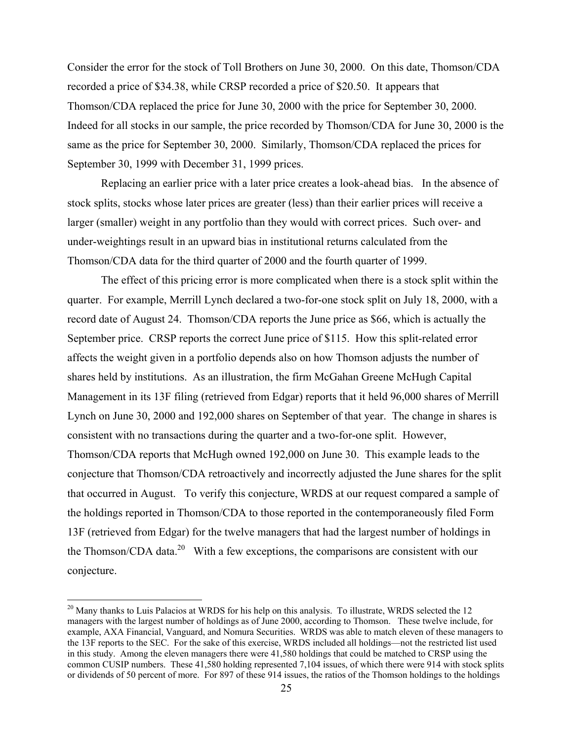Consider the error for the stock of Toll Brothers on June 30, 2000. On this date, Thomson/CDA recorded a price of \$34.38, while CRSP recorded a price of \$20.50. It appears that Thomson/CDA replaced the price for June 30, 2000 with the price for September 30, 2000. Indeed for all stocks in our sample, the price recorded by Thomson/CDA for June 30, 2000 is the same as the price for September 30, 2000. Similarly, Thomson/CDA replaced the prices for September 30, 1999 with December 31, 1999 prices.

Replacing an earlier price with a later price creates a look-ahead bias. In the absence of stock splits, stocks whose later prices are greater (less) than their earlier prices will receive a larger (smaller) weight in any portfolio than they would with correct prices. Such over- and under-weightings result in an upward bias in institutional returns calculated from the Thomson/CDA data for the third quarter of 2000 and the fourth quarter of 1999.

 The effect of this pricing error is more complicated when there is a stock split within the quarter. For example, Merrill Lynch declared a two-for-one stock split on July 18, 2000, with a record date of August 24. Thomson/CDA reports the June price as \$66, which is actually the September price. CRSP reports the correct June price of \$115. How this split-related error affects the weight given in a portfolio depends also on how Thomson adjusts the number of shares held by institutions. As an illustration, the firm McGahan Greene McHugh Capital Management in its 13F filing (retrieved from Edgar) reports that it held 96,000 shares of Merrill Lynch on June 30, 2000 and 192,000 shares on September of that year. The change in shares is consistent with no transactions during the quarter and a two-for-one split. However, Thomson/CDA reports that McHugh owned 192,000 on June 30. This example leads to the conjecture that Thomson/CDA retroactively and incorrectly adjusted the June shares for the split that occurred in August. To verify this conjecture, WRDS at our request compared a sample of the holdings reported in Thomson/CDA to those reported in the contemporaneously filed Form 13F (retrieved from Edgar) for the twelve managers that had the largest number of holdings in the Thomson/CDA data.<sup>20</sup> With a few exceptions, the comparisons are consistent with our conjecture.

 $\overline{a}$ 

 $20$  Many thanks to Luis Palacios at WRDS for his help on this analysis. To illustrate, WRDS selected the 12 managers with the largest number of holdings as of June 2000, according to Thomson. These twelve include, for example, AXA Financial, Vanguard, and Nomura Securities. WRDS was able to match eleven of these managers to the 13F reports to the SEC. For the sake of this exercise, WRDS included all holdings—not the restricted list used in this study. Among the eleven managers there were 41,580 holdings that could be matched to CRSP using the common CUSIP numbers. These 41,580 holding represented 7,104 issues, of which there were 914 with stock splits or dividends of 50 percent of more. For 897 of these 914 issues, the ratios of the Thomson holdings to the holdings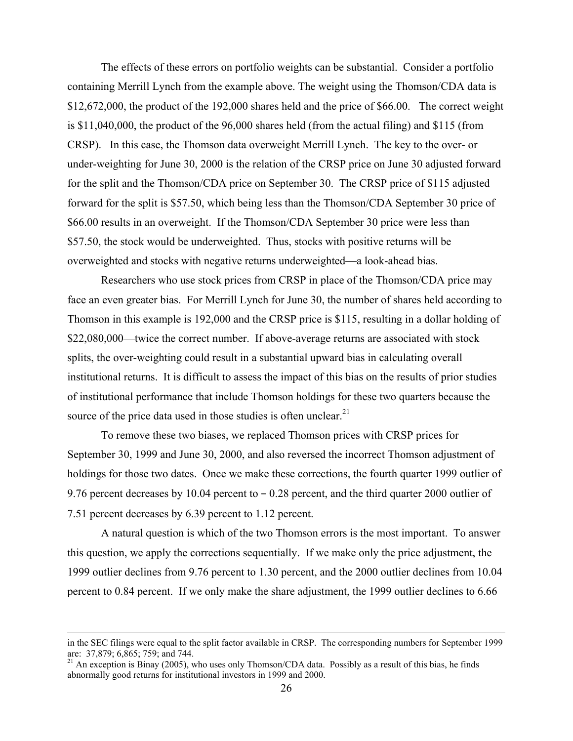The effects of these errors on portfolio weights can be substantial. Consider a portfolio containing Merrill Lynch from the example above. The weight using the Thomson/CDA data is \$12,672,000, the product of the 192,000 shares held and the price of \$66.00. The correct weight is \$11,040,000, the product of the 96,000 shares held (from the actual filing) and \$115 (from CRSP). In this case, the Thomson data overweight Merrill Lynch. The key to the over- or under-weighting for June 30, 2000 is the relation of the CRSP price on June 30 adjusted forward for the split and the Thomson/CDA price on September 30. The CRSP price of \$115 adjusted forward for the split is \$57.50, which being less than the Thomson/CDA September 30 price of \$66.00 results in an overweight. If the Thomson/CDA September 30 price were less than \$57.50, the stock would be underweighted. Thus, stocks with positive returns will be overweighted and stocks with negative returns underweighted—a look-ahead bias.

Researchers who use stock prices from CRSP in place of the Thomson/CDA price may face an even greater bias. For Merrill Lynch for June 30, the number of shares held according to Thomson in this example is 192,000 and the CRSP price is \$115, resulting in a dollar holding of \$22,080,000—twice the correct number. If above-average returns are associated with stock splits, the over-weighting could result in a substantial upward bias in calculating overall institutional returns. It is difficult to assess the impact of this bias on the results of prior studies of institutional performance that include Thomson holdings for these two quarters because the source of the price data used in those studies is often unclear.<sup>21</sup>

 To remove these two biases, we replaced Thomson prices with CRSP prices for September 30, 1999 and June 30, 2000, and also reversed the incorrect Thomson adjustment of holdings for those two dates. Once we make these corrections, the fourth quarter 1999 outlier of 9.76 percent decreases by 10.04 percent to − 0.28 percent, and the third quarter 2000 outlier of 7.51 percent decreases by 6.39 percent to 1.12 percent.

A natural question is which of the two Thomson errors is the most important. To answer this question, we apply the corrections sequentially. If we make only the price adjustment, the 1999 outlier declines from 9.76 percent to 1.30 percent, and the 2000 outlier declines from 10.04 percent to 0.84 percent. If we only make the share adjustment, the 1999 outlier declines to 6.66

in the SEC filings were equal to the split factor available in CRSP. The corresponding numbers for September 1999 are: 37,879; 6,865; 759; and 744.

 $21$  An exception is Binay (2005), who uses only Thomson/CDA data. Possibly as a result of this bias, he finds abnormally good returns for institutional investors in 1999 and 2000.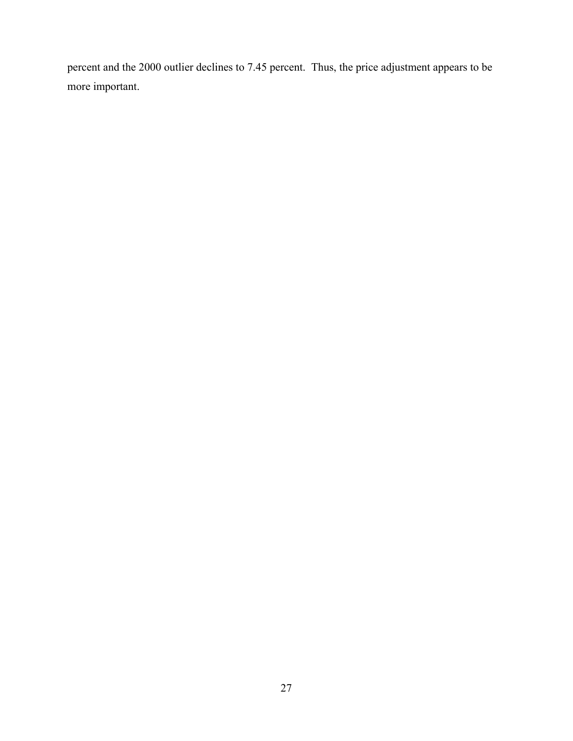percent and the 2000 outlier declines to 7.45 percent. Thus, the price adjustment appears to be more important.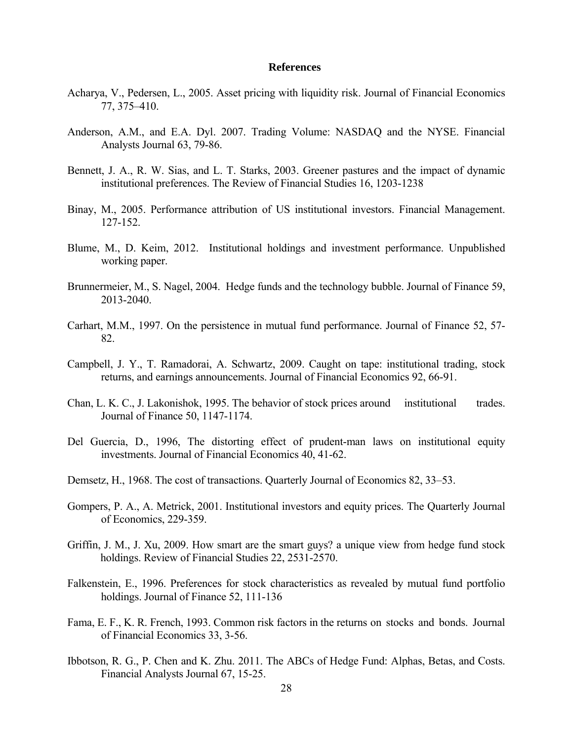#### **References**

- Acharya, V., Pedersen, L., 2005. Asset pricing with liquidity risk. Journal of Financial Economics 77, 375–410.
- Anderson, A.M., and E.A. Dyl. 2007. Trading Volume: NASDAQ and the NYSE. Financial Analysts Journal 63, 79-86.
- Bennett, J. A., R. W. Sias, and L. T. Starks, 2003. Greener pastures and the impact of dynamic institutional preferences. The Review of Financial Studies 16, 1203-1238
- Binay, M., 2005. Performance attribution of US institutional investors. Financial Management. 127-152.
- Blume, M., D. Keim, 2012. Institutional holdings and investment performance. Unpublished working paper.
- Brunnermeier, M., S. Nagel, 2004. Hedge funds and the technology bubble. Journal of Finance 59, 2013-2040.
- Carhart, M.M., 1997. On the persistence in mutual fund performance. Journal of Finance 52, 57- 82.
- Campbell, J. Y., T. Ramadorai, A. Schwartz, 2009. Caught on tape: institutional trading, stock returns, and earnings announcements. Journal of Financial Economics 92, 66-91.
- Chan, L. K. C., J. Lakonishok, 1995. The behavior of stock prices around institutional trades. Journal of Finance 50, 1147-1174.
- Del Guercia, D., 1996, The distorting effect of prudent-man laws on institutional equity investments. Journal of Financial Economics 40, 41-62.
- Demsetz, H., 1968. The cost of transactions. Quarterly Journal of Economics 82, 33–53.
- Gompers, P. A., A. Metrick, 2001. Institutional investors and equity prices. The Quarterly Journal of Economics, 229-359.
- Griffin, J. M., J. Xu, 2009. How smart are the smart guys? a unique view from hedge fund stock holdings. Review of Financial Studies 22, 2531-2570.
- Falkenstein, E., 1996. Preferences for stock characteristics as revealed by mutual fund portfolio holdings. Journal of Finance 52, 111-136
- Fama, E. F., K. R. French, 1993. Common risk factors in the returns on stocks and bonds. Journal of Financial Economics 33, 3-56.
- Ibbotson, R. G., P. Chen and K. Zhu. 2011. The ABCs of Hedge Fund: Alphas, Betas, and Costs. Financial Analysts Journal 67, 15-25.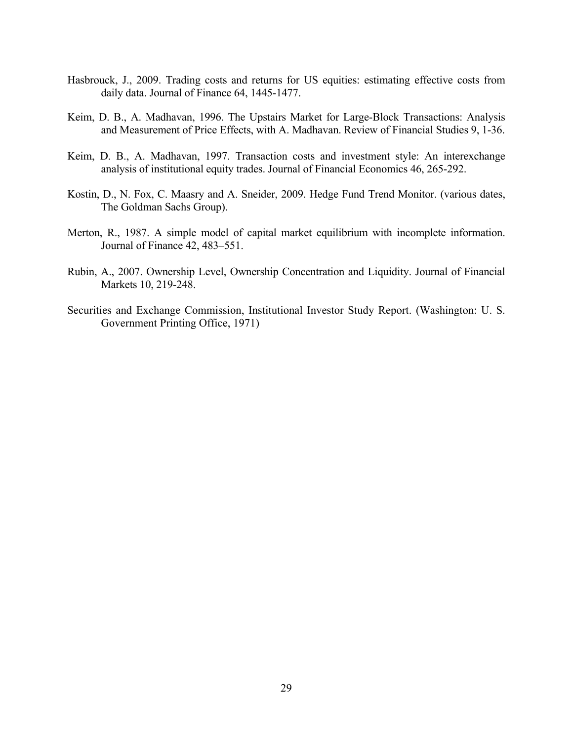- Hasbrouck, J., 2009. Trading costs and returns for US equities: estimating effective costs from daily data. Journal of Finance 64, 1445-1477.
- Keim, D. B., A. Madhavan, 1996. The Upstairs Market for Large-Block Transactions: Analysis and Measurement of Price Effects, with A. Madhavan. Review of Financial Studies 9, 1-36.
- Keim, D. B., A. Madhavan, 1997. Transaction costs and investment style: An interexchange analysis of institutional equity trades. Journal of Financial Economics 46, 265-292.
- Kostin, D., N. Fox, C. Maasry and A. Sneider, 2009. Hedge Fund Trend Monitor. (various dates, The Goldman Sachs Group).
- Merton, R., 1987. A simple model of capital market equilibrium with incomplete information. Journal of Finance 42, 483–551.
- Rubin, A., 2007. Ownership Level, Ownership Concentration and Liquidity. Journal of Financial Markets 10, 219-248.
- Securities and Exchange Commission, Institutional Investor Study Report. (Washington: U. S. Government Printing Office, 1971)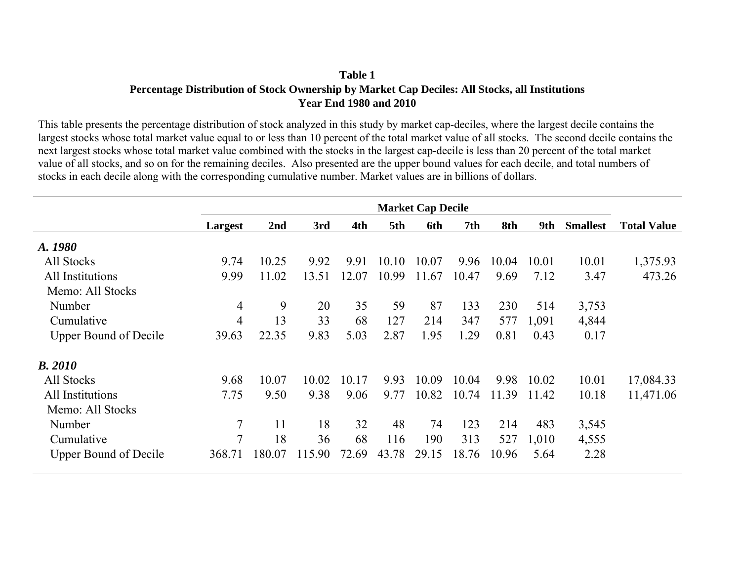# **Table 1 Percentage Distribution of Stock Ownership by Market Cap Deciles: All Stocks, all Institutions Year End 1980 and 2010**

This table presents the percentage distribution of stock analyzed in this study by market cap-deciles, where the largest decile contains the largest stocks whose total market value equal to or less than 10 percent of the total market value of all stocks. The second decile contains the next largest stocks whose total market value combined with the stocks in the largest cap-decile is less than 20 percent of the total market value of all stocks, and so on for the remaining deciles. Also presented are the upper bound values for each decile, and total numbers of stocks in each decile along with the corresponding cumulative number. Market values are in billions of dollars.

|                              | <b>Market Cap Decile</b> |                 |        |       |       |       |       |       |       |                 |                    |
|------------------------------|--------------------------|-----------------|--------|-------|-------|-------|-------|-------|-------|-----------------|--------------------|
|                              | Largest                  | 2 <sub>nd</sub> | 3rd    | 4th   | 5th   | 6th   | 7th   | 8th   | 9th   | <b>Smallest</b> | <b>Total Value</b> |
| A. 1980                      |                          |                 |        |       |       |       |       |       |       |                 |                    |
| All Stocks                   | 9.74                     | 10.25           | 9.92   | 9.91  | 10.10 | 10.07 | 9.96  | 10.04 | 10.01 | 10.01           | 1,375.93           |
| All Institutions             | 9.99                     | 11.02           | 13.51  | 12.07 | 10.99 | 11.67 | 10.47 | 9.69  | 7.12  | 3.47            | 473.26             |
| Memo: All Stocks             |                          |                 |        |       |       |       |       |       |       |                 |                    |
| Number                       | 4                        | 9               | 20     | 35    | 59    | 87    | 133   | 230   | 514   | 3,753           |                    |
| Cumulative                   | 4                        | 13              | 33     | 68    | 127   | 214   | 347   | 577   | 1,091 | 4,844           |                    |
| <b>Upper Bound of Decile</b> | 39.63                    | 22.35           | 9.83   | 5.03  | 2.87  | 1.95  | 1.29  | 0.81  | 0.43  | 0.17            |                    |
| <b>B.</b> 2010               |                          |                 |        |       |       |       |       |       |       |                 |                    |
| All Stocks                   | 9.68                     | 10.07           | 10.02  | 10.17 | 9.93  | 10.09 | 10.04 | 9.98  | 10.02 | 10.01           | 17,084.33          |
| All Institutions             | 7.75                     | 9.50            | 9.38   | 9.06  | 9.77  | 10.82 | 10.74 | 11.39 | 11.42 | 10.18           | 11,471.06          |
| Memo: All Stocks             |                          |                 |        |       |       |       |       |       |       |                 |                    |
| Number                       | 7                        | 11              | 18     | 32    | 48    | 74    | 123   | 214   | 483   | 3,545           |                    |
| Cumulative                   | 7                        | 18              | 36     | 68    | 116   | 190   | 313   | 527   | 1,010 | 4,555           |                    |
| <b>Upper Bound of Decile</b> | 368.71                   | 180.07          | 115.90 | 72.69 | 43.78 | 29.15 | 18.76 | 10.96 | 5.64  | 2.28            |                    |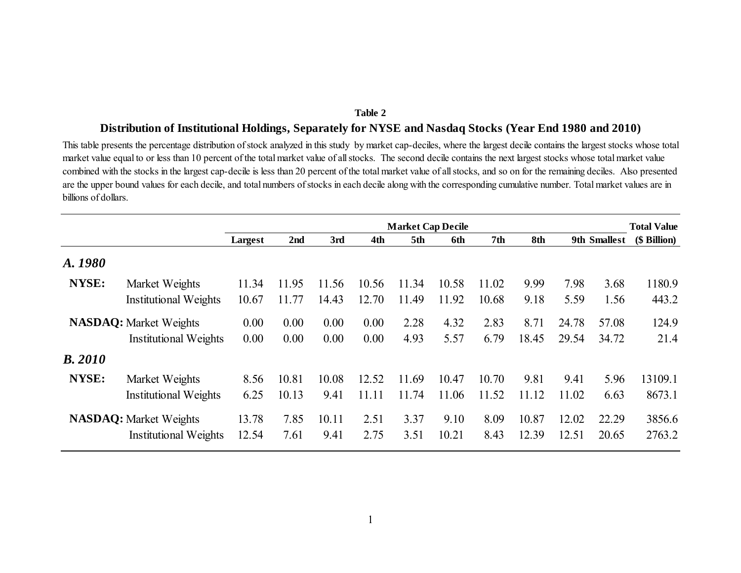# **Distribution of Institutional Holdings, Separately for NYSE and Nasdaq Stocks (Year End 1980 and 2010)**

This table presents the percentage distribution of stock analyzed in this study by market cap-deciles, where the largest decile contains the largest stocks whose total market value equal to or less than 10 percent of the total market value of all stocks. The second decile contains the next largest stocks whose total market value combined with the stocks in the largest cap-decile is less than 20 percent of the total market value of all stocks, and so on for the remaining deciles. Also presented are the upper bound values for each decile, and total numbers of stocks in each decile along with the corresponding cumulative number. Total market values are in billions of dollars.

|                |                               | <b>Market Cap Decile</b> |                 |       |       |       |       |       |       |       | <b>Total Value</b> |              |
|----------------|-------------------------------|--------------------------|-----------------|-------|-------|-------|-------|-------|-------|-------|--------------------|--------------|
|                |                               | Largest                  | 2 <sub>nd</sub> | 3rd   | 4th   | 5th   | 6th   | 7th   | 8th   |       | 9th Smallest       | (\$ Billion) |
| A. 1980        |                               |                          |                 |       |       |       |       |       |       |       |                    |              |
| NYSE:          | Market Weights                | 11.34                    | 11.95           | 11.56 | 10.56 | 11.34 | 10.58 | 11.02 | 9.99  | 7.98  | 3.68               | 1180.9       |
|                | <b>Institutional Weights</b>  | 10.67                    | 11.77           | 14.43 | 12.70 | 11.49 | 11.92 | 10.68 | 9.18  | 5.59  | 1.56               | 443.2        |
|                | <b>NASDAQ:</b> Market Weights | 0.00                     | 0.00            | 0.00  | 0.00  | 2.28  | 4.32  | 2.83  | 8.71  | 24.78 | 57.08              | 124.9        |
|                | <b>Institutional Weights</b>  | 0.00                     | 0.00            | 0.00  | 0.00  | 4.93  | 5.57  | 6.79  | 18.45 | 29.54 | 34.72              | 21.4         |
| <b>B.</b> 2010 |                               |                          |                 |       |       |       |       |       |       |       |                    |              |
| NYSE:          | Market Weights                | 8.56                     | 10.81           | 10.08 | 12.52 | 11.69 | 10.47 | 10.70 | 9.81  | 9.41  | 5.96               | 13109.1      |
|                | <b>Institutional Weights</b>  | 6.25                     | 10.13           | 9.41  | 11.11 | 11.74 | 11.06 | 11.52 | 11.12 | 11.02 | 6.63               | 8673.1       |
|                | <b>NASDAQ:</b> Market Weights | 13.78                    | 7.85            | 10.11 | 2.51  | 3.37  | 9.10  | 8.09  | 10.87 | 12.02 | 22.29              | 3856.6       |
|                | <b>Institutional Weights</b>  | 12.54                    | 7.61            | 9.41  | 2.75  | 3.51  | 10.21 | 8.43  | 12.39 | 12.51 | 20.65              | 2763.2       |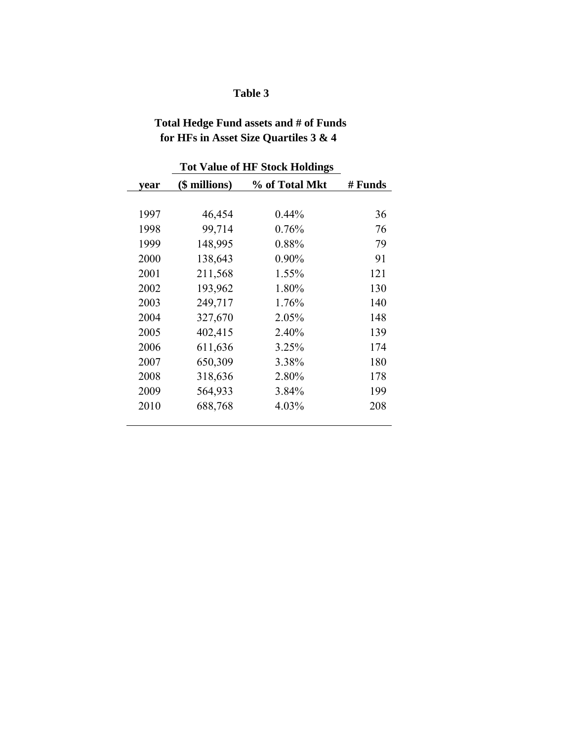# **Total Hedge Fund assets and # of Funds for HFs in Asset Size Quartiles 3 & 4**

| year | (\$ millions) | % of Total Mkt | # Funds |
|------|---------------|----------------|---------|
|      |               |                |         |
| 1997 | 46,454        | $0.44\%$       | 36      |
| 1998 | 99,714        | 0.76%          | 76      |
| 1999 | 148,995       | 0.88%          | 79      |
| 2000 | 138,643       | 0.90%          | 91      |
| 2001 | 211,568       | 1.55%          | 121     |
| 2002 | 193,962       | 1.80%          | 130     |
| 2003 | 249,717       | 1.76%          | 140     |
| 2004 | 327,670       | 2.05%          | 148     |
| 2005 | 402,415       | 2.40%          | 139     |
| 2006 | 611,636       | 3.25%          | 174     |
| 2007 | 650,309       | 3.38%          | 180     |
| 2008 | 318,636       | 2.80%          | 178     |
| 2009 | 564,933       | 3.84%          | 199     |
| 2010 | 688,768       | 4.03%          | 208     |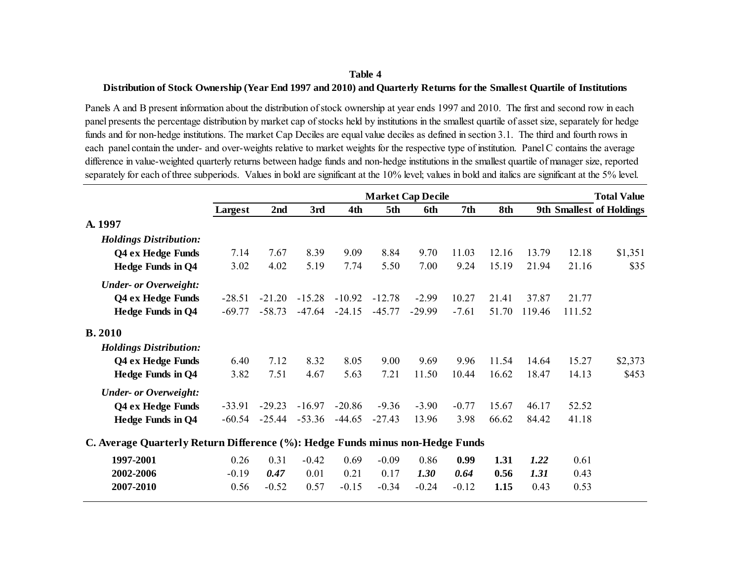#### **Distribution of Stock Ownership (Year End 1997 and 2010) and Quarterly Returns for the Smallest Quartile of Institutions**

Panels A and B present information about the distribution of stock ownership at year ends 1997 and 2010. The first and second row in each panel presents the percentage distribution by market cap of stocks held by institutions in the smallest quartile of asset size, separately for hedge funds and for non-hedge institutions. The market Cap Deciles are equal value deciles as defined in section 3.1. The third and fourth rows in each panel contain the under- and over-weights relative to market weights for the respective type of institution. Panel C contains the average difference in value-weighted quarterly returns between hadge funds and non-hedge institutions in the smallest quartile of manager size, reported separately for each of three subperiods. Values in bold are significant at the 10% level; values in bold and italics are significant at the 5% level.

|                                                                               | <b>Market Cap Decile</b> |                 |          |          |          |          |         |       |        |        | <b>Total Value</b>              |
|-------------------------------------------------------------------------------|--------------------------|-----------------|----------|----------|----------|----------|---------|-------|--------|--------|---------------------------------|
|                                                                               | Largest                  | 2 <sub>nd</sub> | 3rd      | 4th      | 5th      | 6th      | 7th     | 8th   |        |        | <b>9th Smallest of Holdings</b> |
| A. 1997                                                                       |                          |                 |          |          |          |          |         |       |        |        |                                 |
| <b>Holdings Distribution:</b>                                                 |                          |                 |          |          |          |          |         |       |        |        |                                 |
| Q4 ex Hedge Funds                                                             | 7.14                     | 7.67            | 8.39     | 9.09     | 8.84     | 9.70     | 11.03   | 12.16 | 13.79  | 12.18  | \$1,351                         |
| <b>Hedge Funds in Q4</b>                                                      | 3.02                     | 4.02            | 5.19     | 7.74     | 5.50     | 7.00     | 9.24    | 15.19 | 21.94  | 21.16  | \$35                            |
| <b>Under- or Overweight:</b>                                                  |                          |                 |          |          |          |          |         |       |        |        |                                 |
| Q4 ex Hedge Funds                                                             | $-28.51$                 | $-21.20$        | $-15.28$ | $-10.92$ | $-12.78$ | $-2.99$  | 10.27   | 21.41 | 37.87  | 21.77  |                                 |
| <b>Hedge Funds in Q4</b>                                                      | $-69.77$                 | $-58.73$        | $-47.64$ | $-24.15$ | $-45.77$ | $-29.99$ | $-7.61$ | 51.70 | 119.46 | 111.52 |                                 |
| <b>B.2010</b>                                                                 |                          |                 |          |          |          |          |         |       |        |        |                                 |
| <b>Holdings Distribution:</b>                                                 |                          |                 |          |          |          |          |         |       |        |        |                                 |
| Q4 ex Hedge Funds                                                             | 6.40                     | 7.12            | 8.32     | 8.05     | 9.00     | 9.69     | 9.96    | 11.54 | 14.64  | 15.27  | \$2,373                         |
| <b>Hedge Funds in Q4</b>                                                      | 3.82                     | 7.51            | 4.67     | 5.63     | 7.21     | 11.50    | 10.44   | 16.62 | 18.47  | 14.13  | \$453                           |
| <b>Under- or Overweight:</b>                                                  |                          |                 |          |          |          |          |         |       |        |        |                                 |
| Q4 ex Hedge Funds                                                             | $-33.91$                 | $-29.23$        | $-16.97$ | $-20.86$ | $-9.36$  | $-3.90$  | $-0.77$ | 15.67 | 46.17  | 52.52  |                                 |
| <b>Hedge Funds in Q4</b>                                                      | $-60.54$                 | $-25.44$        | $-53.36$ | $-44.65$ | $-27.43$ | 13.96    | 3.98    | 66.62 | 84.42  | 41.18  |                                 |
| C. Average Quarterly Return Difference (%): Hedge Funds minus non-Hedge Funds |                          |                 |          |          |          |          |         |       |        |        |                                 |
| 1997-2001                                                                     | 0.26                     | 0.31            | $-0.42$  | 0.69     | $-0.09$  | 0.86     | 0.99    | 1.31  | 1.22   | 0.61   |                                 |
| 2002-2006                                                                     | $-0.19$                  | 0.47            | 0.01     | 0.21     | 0.17     | 1.30     | 0.64    | 0.56  | 1.31   | 0.43   |                                 |
| 2007-2010                                                                     | 0.56                     | $-0.52$         | 0.57     | $-0.15$  | $-0.34$  | $-0.24$  | $-0.12$ | 1.15  | 0.43   | 0.53   |                                 |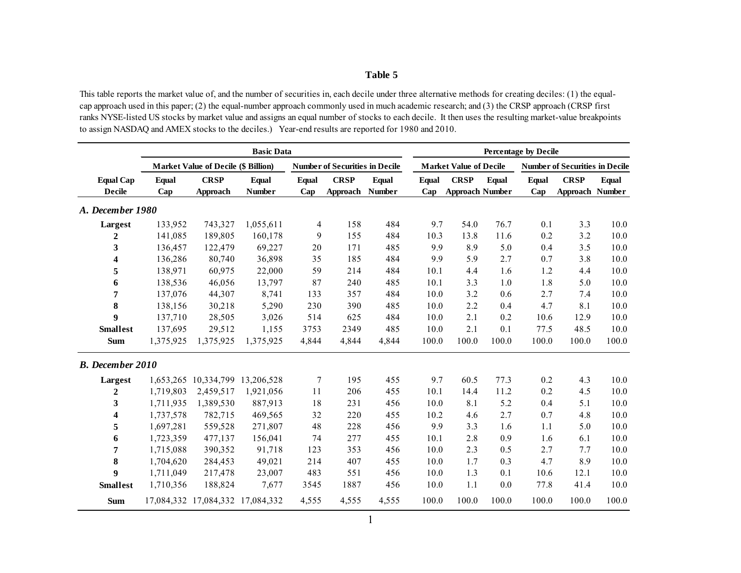This table reports the market value of, and the number of securities in, each decile under three alternative methods for creating deciles: (1) the equalcap approach used in this paper; (2) the equal-number approach commonly used in much academic research; and (3) the CRSP approach (CRSP first ranks NYSE-listed US stocks by market value and assigns an equal number of stocks to each decile. It then uses the resulting market-value breakpoints to assign NASDAQ and AMEX stocks to the deciles.) Year-end results are reported for 1980 and 2010.

|                                   |              |                                            | <b>Basic Data</b>      |                 |                                       |                        |                     |                                       | <b>Percentage by Decile</b> |                     |                                       |              |
|-----------------------------------|--------------|--------------------------------------------|------------------------|-----------------|---------------------------------------|------------------------|---------------------|---------------------------------------|-----------------------------|---------------------|---------------------------------------|--------------|
|                                   |              | <b>Market Value of Decile (\$ Billion)</b> |                        |                 | <b>Number of Securities in Decile</b> |                        |                     | <b>Market Value of Decile</b>         |                             |                     | <b>Number of Securities in Decile</b> |              |
| <b>Equal Cap</b><br><b>Decile</b> | Equal<br>Cap | <b>CRSP</b><br>Approach                    | Equal<br><b>Number</b> | Equal<br>Cap    | <b>CRSP</b><br>Approach               | Equal<br><b>Number</b> | <b>Equal</b><br>Cap | <b>CRSP</b><br><b>Approach Number</b> | Equal                       | <b>Equal</b><br>Cap | <b>CRSP</b><br>Approach Number        | <b>Equal</b> |
| A. December 1980                  |              |                                            |                        |                 |                                       |                        |                     |                                       |                             |                     |                                       |              |
| Largest                           | 133,952      | 743,327                                    | 1,055,611              | 4               | 158                                   | 484                    | 9.7                 | 54.0                                  | 76.7                        | 0.1                 | 3.3                                   | 10.0         |
| 2                                 | 141,085      | 189,805                                    | 160,178                | 9               | 155                                   | 484                    | 10.3                | 13.8                                  | 11.6                        | 0.2                 | 3.2                                   | 10.0         |
| 3                                 | 136,457      | 122,479                                    | 69,227                 | 20              | 171                                   | 485                    | 9.9                 | 8.9                                   | 5.0                         | 0.4                 | 3.5                                   | 10.0         |
| 4                                 | 136,286      | 80,740                                     | 36,898                 | 35              | 185                                   | 484                    | 9.9                 | 5.9                                   | 2.7                         | 0.7                 | 3.8                                   | 10.0         |
| 5                                 | 138,971      | 60,975                                     | 22,000                 | 59              | 214                                   | 484                    | 10.1                | 4.4                                   | 1.6                         | 1.2                 | 4.4                                   | 10.0         |
| 6                                 | 138,536      | 46,056                                     | 13,797                 | 87              | 240                                   | 485                    | 10.1                | 3.3                                   | 1.0                         | 1.8                 | 5.0                                   | 10.0         |
| 7                                 | 137,076      | 44,307                                     | 8,741                  | 133             | 357                                   | 484                    | 10.0                | 3.2                                   | 0.6                         | 2.7                 | 7.4                                   | 10.0         |
| 8                                 | 138,156      | 30,218                                     | 5,290                  | 230             | 390                                   | 485                    | 10.0                | 2.2                                   | 0.4                         | 4.7                 | 8.1                                   | 10.0         |
| 9                                 | 137,710      | 28,505                                     | 3,026                  | 514             | 625                                   | 484                    | 10.0                | 2.1                                   | 0.2                         | 10.6                | 12.9                                  | 10.0         |
| <b>Smallest</b>                   | 137,695      | 29,512                                     | 1,155                  | 3753            | 2349                                  | 485                    | 10.0                | 2.1                                   | 0.1                         | 77.5                | 48.5                                  | 10.0         |
| <b>Sum</b>                        | 1,375,925    | 1,375,925                                  | 1,375,925              | 4,844           | 4,844                                 | 4,844                  | 100.0               | 100.0                                 | 100.0                       | 100.0               | 100.0                                 | 100.0        |
| <b>B.</b> December 2010           |              |                                            |                        |                 |                                       |                        |                     |                                       |                             |                     |                                       |              |
| Largest                           |              | 1,653,265 10,334,799 13,206,528            |                        | $7\phantom{.0}$ | 195                                   | 455                    | 9.7                 | 60.5                                  | 77.3                        | 0.2                 | 4.3                                   | 10.0         |
| 2                                 | 1,719,803    | 2,459,517                                  | 1,921,056              | 11              | 206                                   | 455                    | 10.1                | 14.4                                  | 11.2                        | 0.2                 | 4.5                                   | 10.0         |
| 3                                 | 1,711,935    | 1,389,530                                  | 887,913                | 18              | 231                                   | 456                    | 10.0                | 8.1                                   | 5.2                         | 0.4                 | 5.1                                   | 10.0         |
| 4                                 | 1,737,578    | 782,715                                    | 469,565                | 32              | 220                                   | 455                    | 10.2                | 4.6                                   | 2.7                         | 0.7                 | 4.8                                   | 10.0         |
| 5                                 | 1,697,281    | 559,528                                    | 271,807                | 48              | 228                                   | 456                    | 9.9                 | 3.3                                   | 1.6                         | 1.1                 | 5.0                                   | 10.0         |
| 6                                 | 1,723,359    | 477,137                                    | 156,041                | 74              | 277                                   | 455                    | 10.1                | 2.8                                   | 0.9                         | 1.6                 | 6.1                                   | 10.0         |
| 7                                 | 1,715,088    | 390,352                                    | 91,718                 | 123             | 353                                   | 456                    | 10.0                | 2.3                                   | 0.5                         | 2.7                 | 7.7                                   | 10.0         |
| 8                                 | 1,704,620    | 284,453                                    | 49,021                 | 214             | 407                                   | 455                    | 10.0                | 1.7                                   | 0.3                         | 4.7                 | 8.9                                   | 10.0         |
| 9                                 | 1,711,049    | 217,478                                    | 23,007                 | 483             | 551                                   | 456                    | 10.0                | 1.3                                   | 0.1                         | 10.6                | 12.1                                  | 10.0         |
| <b>Smallest</b>                   | 1,710,356    | 188,824                                    | 7,677                  | 3545            | 1887                                  | 456                    | 10.0                | 1.1                                   | 0.0                         | 77.8                | 41.4                                  | 10.0         |
| <b>Sum</b>                        |              | 17,084,332 17,084,332 17,084,332           |                        | 4,555           | 4,555                                 | 4,555                  | 100.0               | 100.0                                 | 100.0                       | 100.0               | 100.0                                 | 100.0        |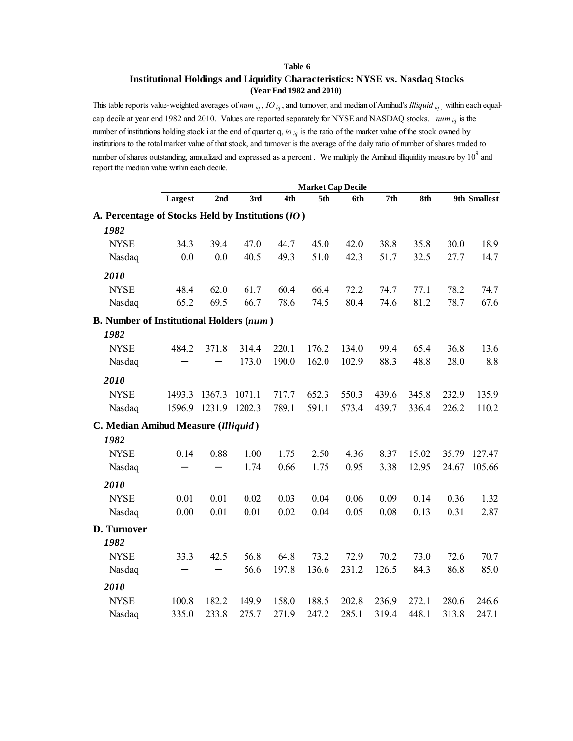## **Institutional Holdings and Liquidity Characteristics: NYSE vs. Nasdaq Stocks (Year End 1982 and 2010)**

This table reports value-weighted averages of *num iq* , *IO iq* , and turnover, and median of Amihud's *Illiquid iq ,* within each equalcap decile at year end 1982 and 2010. Values are reported separately for NYSE and NASDAQ stocks. *num iq* is the number of institutions holding stock i at the end of quarter q, *io iq* is the ratio of the market value of the stock owned by institutions to the total market value of that stock, and turnover is the average of the daily ratio of number of shares traded to number of shares outstanding, annualized and expressed as a percent . We multiply the Amihud illiquidity measure by  $10^9$  and report the median value within each decile.

|                                                   | <b>Market Cap Decile</b> |        |        |       |       |       |       |       |       |              |  |  |  |
|---------------------------------------------------|--------------------------|--------|--------|-------|-------|-------|-------|-------|-------|--------------|--|--|--|
|                                                   | Largest                  | 2nd    | 3rd    | 4th   | 5th   | 6th   | 7th   | 8th   |       | 9th Smallest |  |  |  |
| A. Percentage of Stocks Held by Institutions (IO) |                          |        |        |       |       |       |       |       |       |              |  |  |  |
| 1982                                              |                          |        |        |       |       |       |       |       |       |              |  |  |  |
| <b>NYSE</b>                                       | 34.3                     | 39.4   | 47.0   | 44.7  | 45.0  | 42.0  | 38.8  | 35.8  | 30.0  | 18.9         |  |  |  |
| Nasdaq                                            | 0.0                      | 0.0    | 40.5   | 49.3  | 51.0  | 42.3  | 51.7  | 32.5  | 27.7  | 14.7         |  |  |  |
| 2010                                              |                          |        |        |       |       |       |       |       |       |              |  |  |  |
| <b>NYSE</b>                                       | 48.4                     | 62.0   | 61.7   | 60.4  | 66.4  | 72.2  | 74.7  | 77.1  | 78.2  | 74.7         |  |  |  |
| Nasdaq                                            | 65.2                     | 69.5   | 66.7   | 78.6  | 74.5  | 80.4  | 74.6  | 81.2  | 78.7  | 67.6         |  |  |  |
| <b>B.</b> Number of Institutional Holders (num)   |                          |        |        |       |       |       |       |       |       |              |  |  |  |
| 1982                                              |                          |        |        |       |       |       |       |       |       |              |  |  |  |
| <b>NYSE</b>                                       | 484.2                    | 371.8  | 314.4  | 220.1 | 176.2 | 134.0 | 99.4  | 65.4  | 36.8  | 13.6         |  |  |  |
| Nasdaq                                            |                          |        | 173.0  | 190.0 | 162.0 | 102.9 | 88.3  | 48.8  | 28.0  | 8.8          |  |  |  |
| 2010                                              |                          |        |        |       |       |       |       |       |       |              |  |  |  |
| <b>NYSE</b>                                       | 1493.3                   | 1367.3 | 1071.1 | 717.7 | 652.3 | 550.3 | 439.6 | 345.8 | 232.9 | 135.9        |  |  |  |
| Nasdaq                                            | 1596.9                   | 1231.9 | 1202.3 | 789.1 | 591.1 | 573.4 | 439.7 | 336.4 | 226.2 | 110.2        |  |  |  |
| C. Median Amihud Measure (Illiquid)               |                          |        |        |       |       |       |       |       |       |              |  |  |  |
| 1982                                              |                          |        |        |       |       |       |       |       |       |              |  |  |  |
| <b>NYSE</b>                                       | 0.14                     | 0.88   | 1.00   | 1.75  | 2.50  | 4.36  | 8.37  | 15.02 | 35.79 | 127.47       |  |  |  |
| Nasdaq                                            |                          |        | 1.74   | 0.66  | 1.75  | 0.95  | 3.38  | 12.95 | 24.67 | 105.66       |  |  |  |
| 2010                                              |                          |        |        |       |       |       |       |       |       |              |  |  |  |
| <b>NYSE</b>                                       | 0.01                     | 0.01   | 0.02   | 0.03  | 0.04  | 0.06  | 0.09  | 0.14  | 0.36  | 1.32         |  |  |  |
| Nasdaq                                            | 0.00                     | 0.01   | 0.01   | 0.02  | 0.04  | 0.05  | 0.08  | 0.13  | 0.31  | 2.87         |  |  |  |
| D. Turnover                                       |                          |        |        |       |       |       |       |       |       |              |  |  |  |
| 1982                                              |                          |        |        |       |       |       |       |       |       |              |  |  |  |
| <b>NYSE</b>                                       | 33.3                     | 42.5   | 56.8   | 64.8  | 73.2  | 72.9  | 70.2  | 73.0  | 72.6  | 70.7         |  |  |  |
| Nasdaq                                            |                          |        | 56.6   | 197.8 | 136.6 | 231.2 | 126.5 | 84.3  | 86.8  | 85.0         |  |  |  |
| 2010                                              |                          |        |        |       |       |       |       |       |       |              |  |  |  |
| <b>NYSE</b>                                       | 100.8                    | 182.2  | 149.9  | 158.0 | 188.5 | 202.8 | 236.9 | 272.1 | 280.6 | 246.6        |  |  |  |
| Nasdaq                                            | 335.0                    | 233.8  | 275.7  | 271.9 | 247.2 | 285.1 | 319.4 | 448.1 | 313.8 | 247.1        |  |  |  |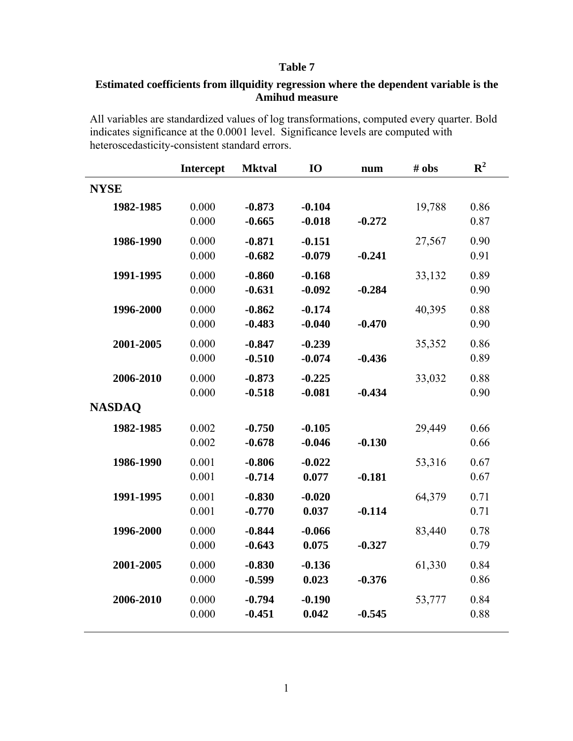# **Estimated coefficients from illquidity regression where the dependent variable is the Amihud measure**

All variables are standardized values of log transformations, computed every quarter. Bold indicates significance at the 0.0001 level. Significance levels are computed with heteroscedasticity-consistent standard errors.

|               | Intercept      | <b>Mktval</b>        | <b>IO</b>            | num      | # obs  | ${\bf R}^2$  |
|---------------|----------------|----------------------|----------------------|----------|--------|--------------|
| <b>NYSE</b>   |                |                      |                      |          |        |              |
| 1982-1985     | 0.000<br>0.000 | $-0.873$<br>$-0.665$ | $-0.104$<br>$-0.018$ | $-0.272$ | 19,788 | 0.86<br>0.87 |
| 1986-1990     | 0.000<br>0.000 | $-0.871$<br>$-0.682$ | $-0.151$<br>$-0.079$ | $-0.241$ | 27,567 | 0.90<br>0.91 |
| 1991-1995     | 0.000<br>0.000 | $-0.860$<br>$-0.631$ | $-0.168$<br>$-0.092$ | $-0.284$ | 33,132 | 0.89<br>0.90 |
| 1996-2000     | 0.000<br>0.000 | $-0.862$<br>$-0.483$ | $-0.174$<br>$-0.040$ | $-0.470$ | 40,395 | 0.88<br>0.90 |
| 2001-2005     | 0.000<br>0.000 | $-0.847$<br>$-0.510$ | $-0.239$<br>$-0.074$ | $-0.436$ | 35,352 | 0.86<br>0.89 |
| 2006-2010     | 0.000<br>0.000 | $-0.873$<br>$-0.518$ | $-0.225$<br>$-0.081$ | $-0.434$ | 33,032 | 0.88<br>0.90 |
| <b>NASDAQ</b> |                |                      |                      |          |        |              |
| 1982-1985     | 0.002<br>0.002 | $-0.750$<br>$-0.678$ | $-0.105$<br>$-0.046$ | $-0.130$ | 29,449 | 0.66<br>0.66 |
| 1986-1990     | 0.001<br>0.001 | $-0.806$<br>$-0.714$ | $-0.022$<br>0.077    | $-0.181$ | 53,316 | 0.67<br>0.67 |
| 1991-1995     | 0.001<br>0.001 | $-0.830$<br>$-0.770$ | $-0.020$<br>0.037    | $-0.114$ | 64,379 | 0.71<br>0.71 |
| 1996-2000     | 0.000<br>0.000 | $-0.844$<br>$-0.643$ | $-0.066$<br>0.075    | $-0.327$ | 83,440 | 0.78<br>0.79 |
| 2001-2005     | 0.000<br>0.000 | $-0.830$<br>$-0.599$ | $-0.136$<br>0.023    | $-0.376$ | 61,330 | 0.84<br>0.86 |
| 2006-2010     | 0.000<br>0.000 | $-0.794$<br>$-0.451$ | $-0.190$<br>0.042    | $-0.545$ | 53,777 | 0.84<br>0.88 |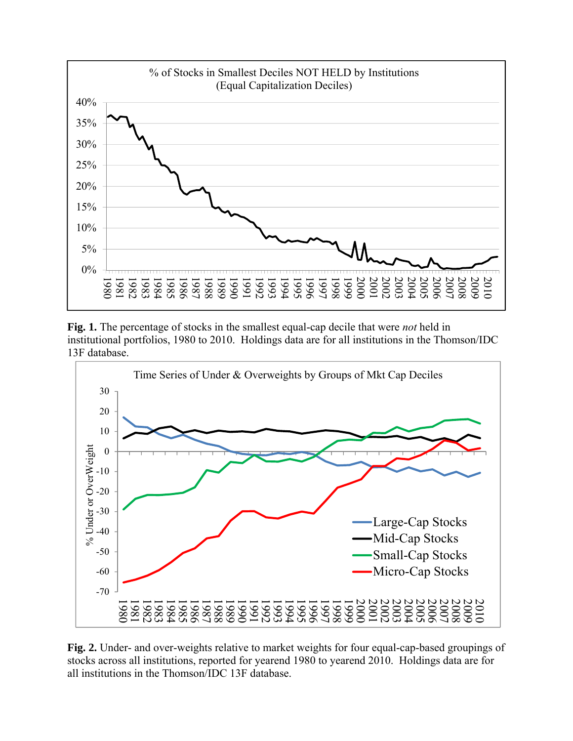

**Fig. 1.** The percentage of stocks in the smallest equal-cap decile that were *not* held in institutional portfolios, 1980 to 2010. Holdings data are for all institutions in the Thomson/IDC 13F database.



**Fig. 2.** Under- and over-weights relative to market weights for four equal-cap-based groupings of stocks across all institutions, reported for yearend 1980 to yearend 2010. Holdings data are for all institutions in the Thomson/IDC 13F database.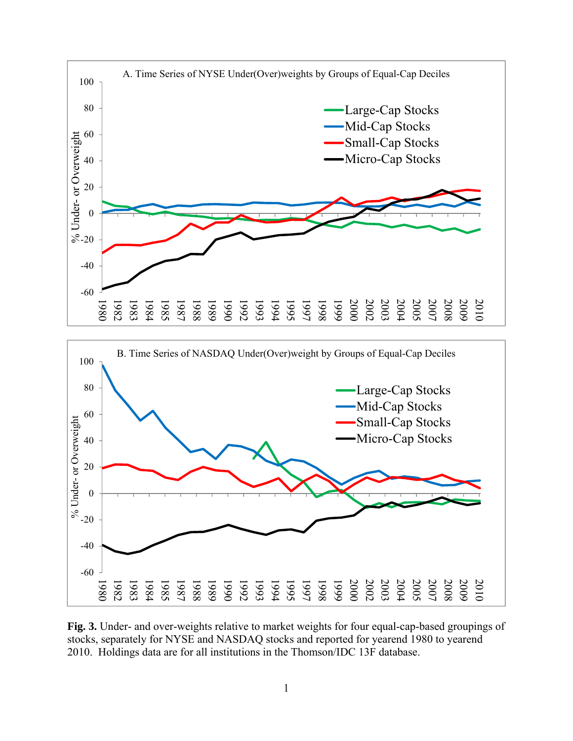

**Fig. 3.** Under- and over-weights relative to market weights for four equal-cap-based groupings of stocks, separately for NYSE and NASDAQ stocks and reported for yearend 1980 to yearend 2010. Holdings data are for all institutions in the Thomson/IDC 13F database.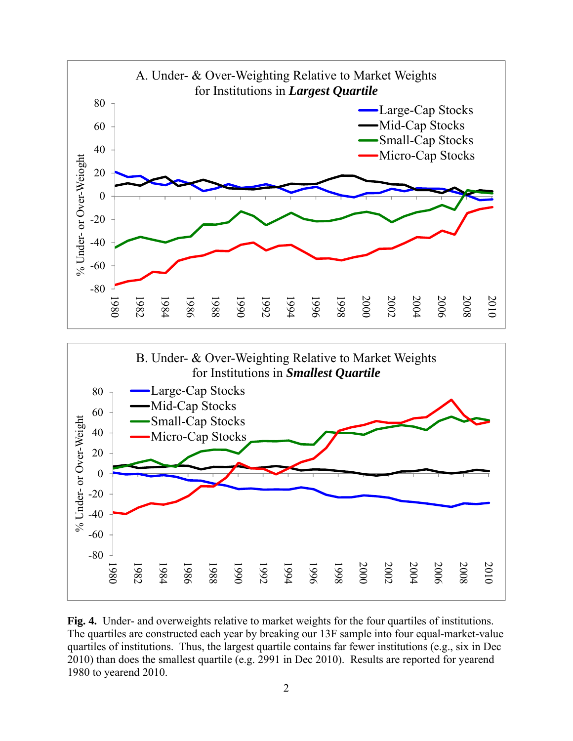

**Fig. 4.** Under- and overweights relative to market weights for the four quartiles of institutions. The quartiles are constructed each year by breaking our 13F sample into four equal-market-value quartiles of institutions. Thus, the largest quartile contains far fewer institutions (e.g., six in Dec 2010) than does the smallest quartile (e.g. 2991 in Dec 2010). Results are reported for yearend 1980 to yearend 2010.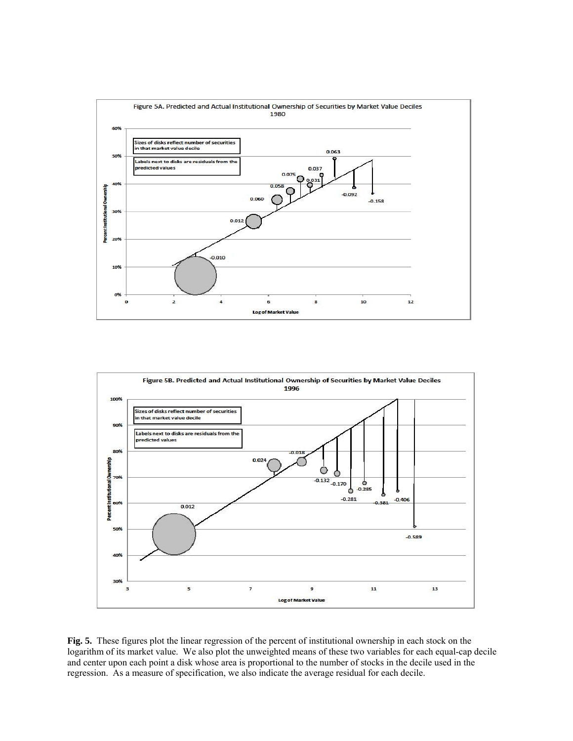



**Fig. 5.** These figures plot the linear regression of the percent of institutional ownership in each stock on the logarithm of its market value. We also plot the unweighted means of these two variables for each equal-cap decile and center upon each point a disk whose area is proportional to the number of stocks in the decile used in the regression. As a measure of specification, we also indicate the average residual for each decile.